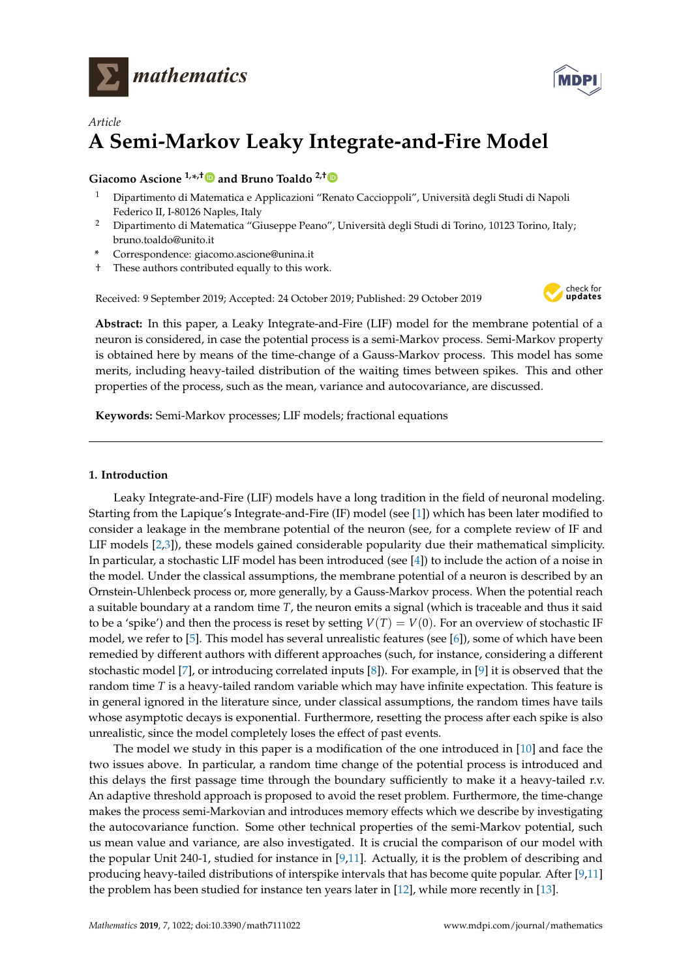



# *Article* **A Semi-Markov Leaky Integrate-and-Fire Model**

## **Giacomo Ascione 1,\* ,[†](https://orcid.org/0000-0003-3860-7097) and Bruno Toaldo 2,†**

- <sup>1</sup> Dipartimento di Matematica e Applicazioni "Renato Caccioppoli", Università degli Studi di Napoli Federico II, I-80126 Naples, Italy
- <sup>2</sup> Dipartimento di Matematica "Giuseppe Peano", Università degli Studi di Torino, 10123 Torino, Italy; bruno.toaldo@unito.it
- **\*** Correspondence: giacomo.ascione@unina.it
- † These authors contributed equally to this work.

Received: 9 September 2019; Accepted: 24 October 2019; Published: 29 October 2019



**Abstract:** In this paper, a Leaky Integrate-and-Fire (LIF) model for the membrane potential of a neuron is considered, in case the potential process is a semi-Markov process. Semi-Markov property is obtained here by means of the time-change of a Gauss-Markov process. This model has some merits, including heavy-tailed distribution of the waiting times between spikes. This and other properties of the process, such as the mean, variance and autocovariance, are discussed.

**Keywords:** Semi-Markov processes; LIF models; fractional equations

## **1. Introduction**

Leaky Integrate-and-Fire (LIF) models have a long tradition in the field of neuronal modeling. Starting from the Lapique's Integrate-and-Fire (IF) model (see [\[1\]](#page-22-0)) which has been later modified to consider a leakage in the membrane potential of the neuron (see, for a complete review of IF and LIF models [\[2,](#page-22-1)[3\]](#page-22-2)), these models gained considerable popularity due their mathematical simplicity. In particular, a stochastic LIF model has been introduced (see [\[4\]](#page-22-3)) to include the action of a noise in the model. Under the classical assumptions, the membrane potential of a neuron is described by an Ornstein-Uhlenbeck process or, more generally, by a Gauss-Markov process. When the potential reach a suitable boundary at a random time *T*, the neuron emits a signal (which is traceable and thus it said to be a 'spike') and then the process is reset by setting  $V(T) = V(0)$ . For an overview of stochastic IF model, we refer to [\[5\]](#page-22-4). This model has several unrealistic features (see [\[6\]](#page-22-5)), some of which have been remedied by different authors with different approaches (such, for instance, considering a different stochastic model [\[7\]](#page-22-6), or introducing correlated inputs [\[8\]](#page-22-7)). For example, in [\[9\]](#page-22-8) it is observed that the random time *T* is a heavy-tailed random variable which may have infinite expectation. This feature is in general ignored in the literature since, under classical assumptions, the random times have tails whose asymptotic decays is exponential. Furthermore, resetting the process after each spike is also unrealistic, since the model completely loses the effect of past events.

The model we study in this paper is a modification of the one introduced in [\[10\]](#page-22-9) and face the two issues above. In particular, a random time change of the potential process is introduced and this delays the first passage time through the boundary sufficiently to make it a heavy-tailed r.v. An adaptive threshold approach is proposed to avoid the reset problem. Furthermore, the time-change makes the process semi-Markovian and introduces memory effects which we describe by investigating the autocovariance function. Some other technical properties of the semi-Markov potential, such us mean value and variance, are also investigated. It is crucial the comparison of our model with the popular Unit 240-1, studied for instance in [\[9,](#page-22-8)[11\]](#page-22-10). Actually, it is the problem of describing and producing heavy-tailed distributions of interspike intervals that has become quite popular. After [\[9](#page-22-8)[,11\]](#page-22-10) the problem has been studied for instance ten years later in [\[12\]](#page-22-11), while more recently in [\[13\]](#page-22-12).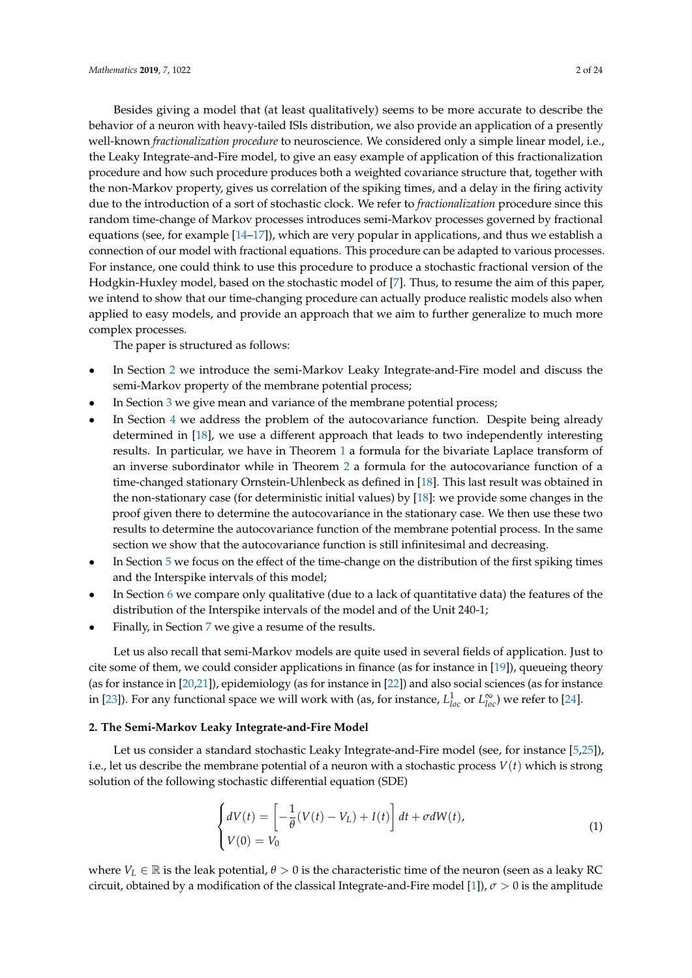Besides giving a model that (at least qualitatively) seems to be more accurate to describe the behavior of a neuron with heavy-tailed ISIs distribution, we also provide an application of a presently well-known *fractionalization procedure* to neuroscience. We considered only a simple linear model, i.e., the Leaky Integrate-and-Fire model, to give an easy example of application of this fractionalization procedure and how such procedure produces both a weighted covariance structure that, together with the non-Markov property, gives us correlation of the spiking times, and a delay in the firing activity due to the introduction of a sort of stochastic clock. We refer to *fractionalization* procedure since this random time-change of Markov processes introduces semi-Markov processes governed by fractional equations (see, for example [\[14–](#page-22-13)[17\]](#page-22-14)), which are very popular in applications, and thus we establish a connection of our model with fractional equations. This procedure can be adapted to various processes. For instance, one could think to use this procedure to produce a stochastic fractional version of the Hodgkin-Huxley model, based on the stochastic model of [\[7\]](#page-22-6). Thus, to resume the aim of this paper, we intend to show that our time-changing procedure can actually produce realistic models also when applied to easy models, and provide an approach that we aim to further generalize to much more complex processes.

The paper is structured as follows:

- In Section [2](#page-1-0) we introduce the semi-Markov Leaky Integrate-and-Fire model and discuss the semi-Markov property of the membrane potential process;
- In Section [3](#page-3-0) we give mean and variance of the membrane potential process;
- In Section [4](#page-7-0) we address the problem of the autocovariance function. Despite being already determined in [\[18\]](#page-22-15), we use a different approach that leads to two independently interesting results. In particular, we have in Theorem [1](#page-7-1) a formula for the bivariate Laplace transform of an inverse subordinator while in Theorem [2](#page-8-0) a formula for the autocovariance function of a time-changed stationary Ornstein-Uhlenbeck as defined in [\[18\]](#page-22-15). This last result was obtained in the non-stationary case (for deterministic initial values) by [\[18\]](#page-22-15): we provide some changes in the proof given there to determine the autocovariance in the stationary case. We then use these two results to determine the autocovariance function of the membrane potential process. In the same section we show that the autocovariance function is still infinitesimal and decreasing.
- In Section [5](#page-10-0) we focus on the effect of the time-change on the distribution of the first spiking times and the Interspike intervals of this model;
- In Section [6](#page-13-0) we compare only qualitative (due to a lack of quantitative data) the features of the distribution of the Interspike intervals of the model and of the Unit 240-1;
- Finally, in Section [7](#page-14-0) we give a resume of the results.

Let us also recall that semi-Markov models are quite used in several fields of application. Just to cite some of them, we could consider applications in finance (as for instance in [\[19\]](#page-22-16)), queueing theory (as for instance in [\[20](#page-22-17)[,21\]](#page-22-18)), epidemiology (as for instance in [\[22\]](#page-22-19)) and also social sciences (as for instance in [\[23\]](#page-22-20)). For any functional space we will work with (as, for instance,  $L_{loc}^1$  or  $L_{loc}^{\infty}$ ) we refer to [\[24\]](#page-23-0).

#### <span id="page-1-0"></span>**2. The Semi-Markov Leaky Integrate-and-Fire Model**

Let us consider a standard stochastic Leaky Integrate-and-Fire model (see, for instance [\[5,](#page-22-4)[25\]](#page-23-1)), i.e., let us describe the membrane potential of a neuron with a stochastic process *V*(*t*) which is strong solution of the following stochastic differential equation (SDE)

<span id="page-1-1"></span>
$$
\begin{cases}\ndV(t) = \left[ -\frac{1}{\theta} (V(t) - V_L) + I(t) \right] dt + \sigma dW(t), \\
V(0) = V_0\n\end{cases}
$$
\n(1)

where  $V_L \in \mathbb{R}$  is the leak potential,  $\theta > 0$  is the characteristic time of the neuron (seen as a leaky RC circuit, obtained by a modification of the classical Integrate-and-Fire model [\[1\]](#page-22-0)), *σ* > 0 is the amplitude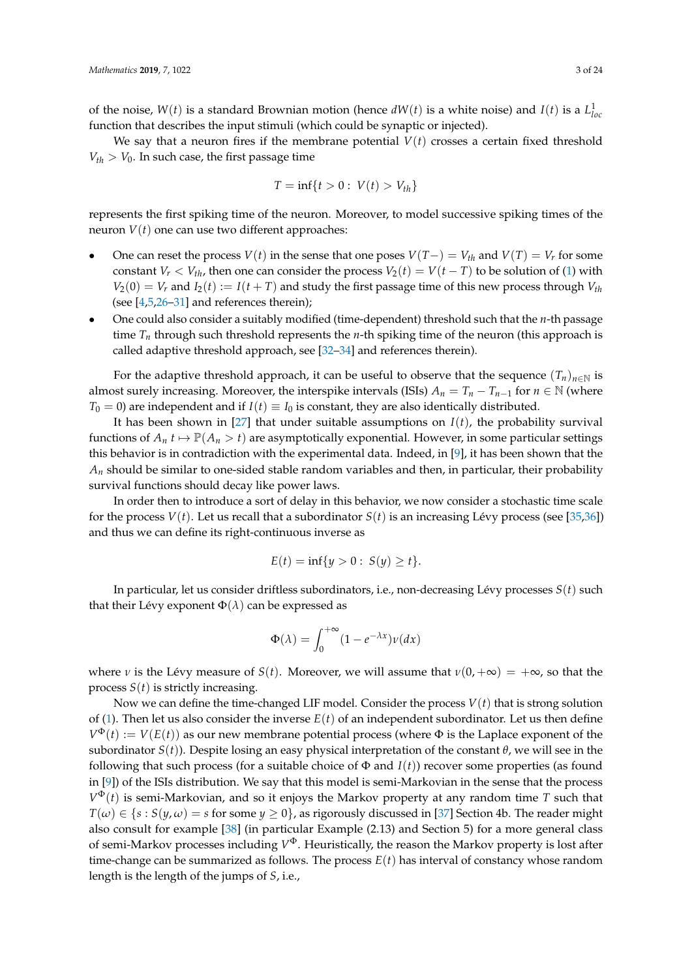of the noise,  $W(t)$  is a standard Brownian motion (hence  $dW(t)$  is a white noise) and  $I(t)$  is a  $L^1_{loc}$ function that describes the input stimuli (which could be synaptic or injected).

We say that a neuron fires if the membrane potential  $V(t)$  crosses a certain fixed threshold  $V_{th} > V_0$ . In such case, the first passage time

$$
T=\inf\{t>0:\ V(t)>V_{th}\}
$$

represents the first spiking time of the neuron. Moreover, to model successive spiking times of the neuron *V*(*t*) one can use two different approaches:

- One can reset the process *V*(*t*) in the sense that one poses  $V(T-) = V_{th}$  and  $V(T) = V_r$  for some constant *V*<sup>*r*</sup> < *V*<sub>th</sub>, then one can consider the process *V*<sub>2</sub>(*t*) = *V*(*t* − *T*) to be solution of [\(1\)](#page-1-1) with  $V_2(0) = V_r$  and  $I_2(t) := I(t + T)$  and study the first passage time of this new process through  $V_{th}$ (see [\[4,](#page-22-3)[5,](#page-22-4)[26–](#page-23-2)[31\]](#page-23-3) and references therein);
- One could also consider a suitably modified (time-dependent) threshold such that the *n*-th passage time *T<sup>n</sup>* through such threshold represents the *n*-th spiking time of the neuron (this approach is called adaptive threshold approach, see [\[32](#page-23-4)[–34\]](#page-23-5) and references therein).

For the adaptive threshold approach, it can be useful to observe that the sequence  $(T_n)_{n\in\mathbb{N}}$  is almost surely increasing. Moreover, the interspike intervals (ISIs)  $A_n = T_n - T_{n-1}$  for  $n \in \mathbb{N}$  (where  $T_0 = 0$ ) are independent and if  $I(t) \equiv I_0$  is constant, they are also identically distributed.

It has been shown in [\[27\]](#page-23-6) that under suitable assumptions on *I*(*t*), the probability survival functions of  $A_n$   $t \mapsto \mathbb{P}(A_n > t)$  are asymptotically exponential. However, in some particular settings this behavior is in contradiction with the experimental data. Indeed, in [\[9\]](#page-22-8), it has been shown that the  $A_n$  should be similar to one-sided stable random variables and then, in particular, their probability survival functions should decay like power laws.

In order then to introduce a sort of delay in this behavior, we now consider a stochastic time scale for the process  $V(t)$ . Let us recall that a subordinator  $S(t)$  is an increasing Lévy process (see [\[35](#page-23-7)[,36\]](#page-23-8)) and thus we can define its right-continuous inverse as

$$
E(t) = \inf\{y > 0: S(y) \ge t\}.
$$

In particular, let us consider driftless subordinators, i.e., non-decreasing Lévy processes *S*(*t*) such that their Lévy exponent  $\Phi(\lambda)$  can be expressed as

$$
\Phi(\lambda) = \int_0^{+\infty} (1 - e^{-\lambda x}) \nu(dx)
$$

where *ν* is the Lévy measure of *S*(*t*). Moreover, we will assume that  $\nu(0, +\infty) = +\infty$ , so that the process *S*(*t*) is strictly increasing.

Now we can define the time-changed LIF model. Consider the process *V*(*t*) that is strong solution of [\(1\)](#page-1-1). Then let us also consider the inverse  $E(t)$  of an independent subordinator. Let us then define  $V^{\Phi}(t) := V(E(t))$  as our new membrane potential process (where  $\Phi$  is the Laplace exponent of the subordinator *S*(*t*)). Despite losing an easy physical interpretation of the constant *θ*, we will see in the following that such process (for a suitable choice of  $\Phi$  and  $I(t)$ ) recover some properties (as found in [\[9\]](#page-22-8)) of the ISIs distribution. We say that this model is semi-Markovian in the sense that the process *V* <sup>Φ</sup>(*t*) is semi-Markovian, and so it enjoys the Markov property at any random time *T* such that  $T(\omega) \in \{s : S(y, \omega) = s \text{ for some } y \ge 0\}$ , as rigorously discussed in [\[37\]](#page-23-9) Section 4b. The reader might also consult for example [\[38\]](#page-23-10) (in particular Example (2.13) and Section 5) for a more general class of semi-Markov processes including *V* <sup>Φ</sup>. Heuristically, the reason the Markov property is lost after time-change can be summarized as follows. The process *E*(*t*) has interval of constancy whose random length is the length of the jumps of *S*, i.e.,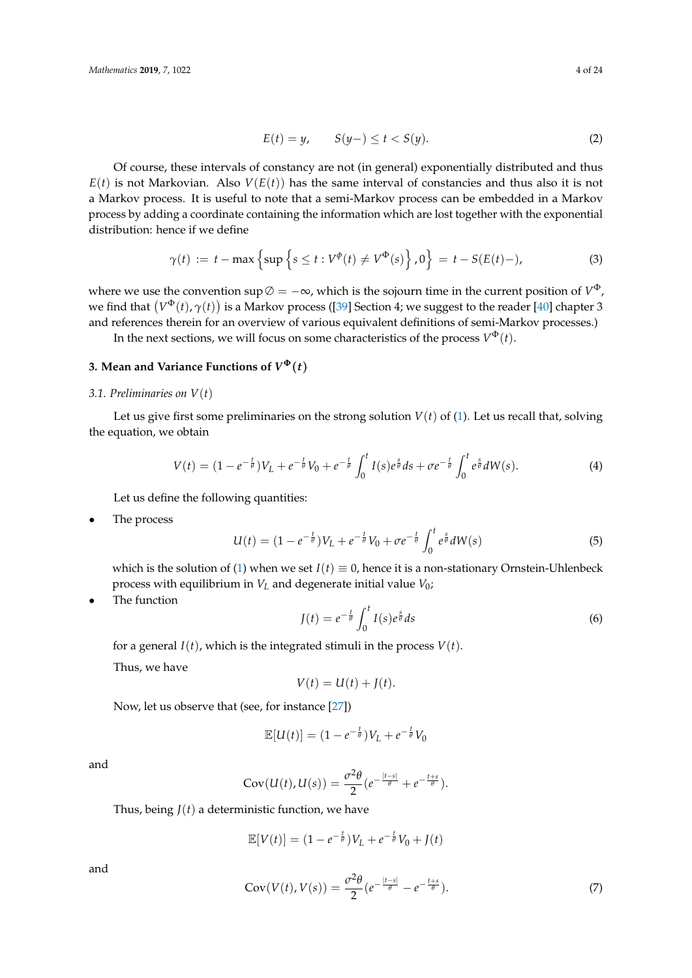$$
E(t) = y, \qquad S(y-) \le t < S(y). \tag{2}
$$

Of course, these intervals of constancy are not (in general) exponentially distributed and thus  $E(t)$  is not Markovian. Also  $V(E(t))$  has the same interval of constancies and thus also it is not a Markov process. It is useful to note that a semi-Markov process can be embedded in a Markov process by adding a coordinate containing the information which are lost together with the exponential distribution: hence if we define

$$
\gamma(t) := t - \max\left\{\sup\left\{s \le t : V^{\phi}(t) \ne V^{\Phi}(s)\right\}, 0\right\} = t - S(E(t) -), \tag{3}
$$

where we use the convention sup  $\emptyset = -\infty$ , which is the sojourn time in the current position of  $V^{\Phi}$ , we find that  $(V^{\Phi}(t),\gamma(t))$  is a Markov process ([\[39\]](#page-23-11) Section 4; we suggest to the reader [\[40\]](#page-23-12) chapter 3 and references therein for an overview of various equivalent definitions of semi-Markov processes.)

In the next sections, we will focus on some characteristics of the process  $V^\Phi(t)$ .

## <span id="page-3-0"></span>**3. Mean and Variance Functions of**  $V^{\Phi}(t)$

## *3.1. Preliminaries on V*(*t*)

Let us give first some preliminaries on the strong solution  $V(t)$  of [\(1\)](#page-1-1). Let us recall that, solving the equation, we obtain

$$
V(t) = (1 - e^{-\frac{t}{\theta}})V_L + e^{-\frac{t}{\theta}}V_0 + e^{-\frac{t}{\theta}} \int_0^t I(s)e^{\frac{s}{\theta}} ds + \sigma e^{-\frac{t}{\theta}} \int_0^t e^{\frac{s}{\theta}} dW(s).
$$
 (4)

Let us define the following quantities:

The process

$$
U(t) = (1 - e^{-\frac{t}{\theta}})V_L + e^{-\frac{t}{\theta}}V_0 + \sigma e^{-\frac{t}{\theta}} \int_0^t e^{\frac{s}{\theta}} dW(s)
$$
 (5)

which is the solution of [\(1\)](#page-1-1) when we set  $I(t) \equiv 0$ , hence it is a non-stationary Ornstein-Uhlenbeck process with equilibrium in *V<sup>L</sup>* and degenerate initial value *V*0;

The function

$$
J(t) = e^{-\frac{t}{\theta}} \int_0^t I(s) e^{\frac{s}{\theta}} ds
$$
 (6)

for a general  $I(t)$ , which is the integrated stimuli in the process  $V(t)$ .

Thus, we have

$$
V(t) = U(t) + J(t).
$$

Now, let us observe that (see, for instance [\[27\]](#page-23-6))

$$
\mathbb{E}[U(t)] = (1 - e^{-\frac{t}{\theta}})V_L + e^{-\frac{t}{\theta}}V_0
$$

and

$$
Cov(U(t),U(s)) = \frac{\sigma^2 \theta}{2} (e^{-\frac{|t-s|}{\theta}} + e^{-\frac{t+s}{\theta}}).
$$

Thus, being 
$$
J(t)
$$
 a deterministic function, we have

$$
\mathbb{E}[V(t)] = (1 - e^{-\frac{t}{\theta}})V_L + e^{-\frac{t}{\theta}}V_0 + J(t)
$$

and

<span id="page-3-1"></span>
$$
Cov(V(t), V(s)) = \frac{\sigma^2 \theta}{2} (e^{-\frac{|t-s|}{\theta}} - e^{-\frac{t+s}{\theta}}).
$$
\n(7)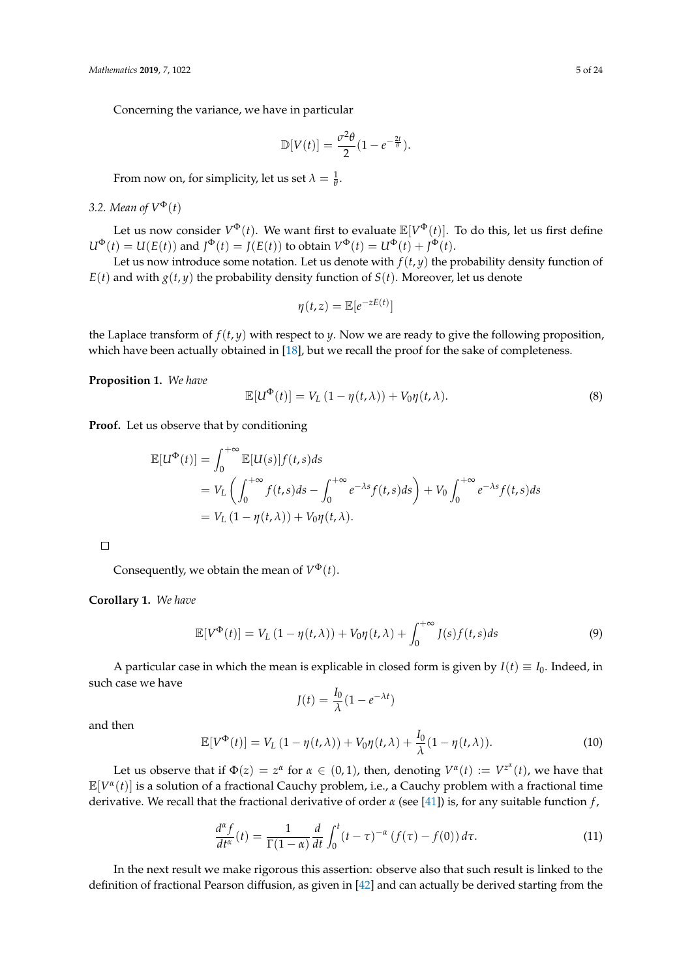Concerning the variance, we have in particular

$$
\mathbb{D}[V(t)] = \frac{\sigma^2 \theta}{2} (1 - e^{-\frac{2t}{\theta}}).
$$

From now on, for simplicity, let us set  $\lambda = \frac{1}{\theta}$ .

## 3.2. Mean of  $V^{\Phi}(t)$

Let us now consider  $V^{\Phi}(t)$ . We want first to evaluate  $\mathbb{E}[V^{\Phi}(t)]$ . To do this, let us first define  $U^{\Phi}(t) = U(E(t))$  and  $J^{\Phi}(t) = J(E(t))$  to obtain  $V^{\Phi}(t) = U^{\Phi}(t) + J^{\Phi}(t)$ .

Let us now introduce some notation. Let us denote with  $f(t, y)$  the probability density function of  $E(t)$  and with  $g(t, y)$  the probability density function of  $S(t)$ . Moreover, let us denote

$$
\eta(t,z) = \mathbb{E}[e^{-zE(t)}]
$$

the Laplace transform of  $f(t, y)$  with respect to *y*. Now we are ready to give the following proposition, which have been actually obtained in [\[18\]](#page-22-15), but we recall the proof for the sake of completeness.

**Proposition 1.** *We have*

$$
\mathbb{E}[U^{\Phi}(t)] = V_L (1 - \eta(t,\lambda)) + V_0 \eta(t,\lambda). \tag{8}
$$

**Proof.** Let us observe that by conditioning

$$
\mathbb{E}[U^{\Phi}(t)] = \int_0^{+\infty} \mathbb{E}[U(s)]f(t,s)ds
$$
  
=  $V_L \left( \int_0^{+\infty} f(t,s)ds - \int_0^{+\infty} e^{-\lambda s} f(t,s)ds \right) + V_0 \int_0^{+\infty} e^{-\lambda s} f(t,s)ds$   
=  $V_L (1 - \eta(t,\lambda)) + V_0 \eta(t,\lambda).$ 

 $\Box$ 

Consequently, we obtain the mean of  $V^{\Phi}(t)$ .

**Corollary 1.** *We have*

$$
\mathbb{E}[V^{\Phi}(t)] = V_L (1 - \eta(t,\lambda)) + V_0 \eta(t,\lambda) + \int_0^{+\infty} J(s)f(t,s)ds
$$
\n(9)

A particular case in which the mean is explicable in closed form is given by  $I(t) \equiv I_0$ . Indeed, in such case we have

$$
J(t) = \frac{I_0}{\lambda} (1 - e^{-\lambda t})
$$

and then

$$
\mathbb{E}[V^{\Phi}(t)] = V_L (1 - \eta(t,\lambda)) + V_0 \eta(t,\lambda) + \frac{I_0}{\lambda} (1 - \eta(t,\lambda)).
$$
\n(10)

Let us observe that if  $\Phi(z) = z^{\alpha}$  for  $\alpha \in (0,1)$ , then, denoting  $V^{\alpha}(t) := V^{z^{\alpha}}(t)$ , we have that E[*V α* (*t*)] is a solution of a fractional Cauchy problem, i.e., a Cauchy problem with a fractional time derivative. We recall that the fractional derivative of order *α* (see [\[41\]](#page-23-13)) is, for any suitable function *f* ,

$$
\frac{d^{\alpha}f}{dt^{\alpha}}(t) = \frac{1}{\Gamma(1-\alpha)}\frac{d}{dt}\int_{0}^{t}(t-\tau)^{-\alpha}(f(\tau)-f(0))d\tau.
$$
\n(11)

In the next result we make rigorous this assertion: observe also that such result is linked to the definition of fractional Pearson diffusion, as given in [\[42\]](#page-23-14) and can actually be derived starting from the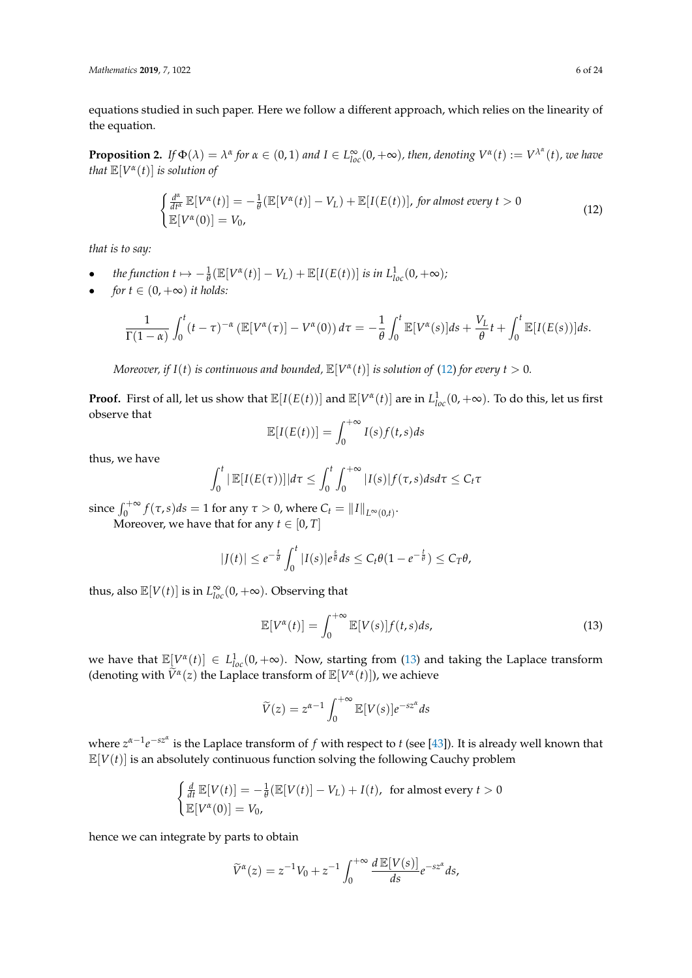equations studied in such paper. Here we follow a different approach, which relies on the linearity of the equation.

**Proposition 2.** If  $\Phi(\lambda) = \lambda^{\alpha}$  for  $\alpha \in (0,1)$  and  $I \in L^{\infty}_{loc}(0,+\infty)$ , then, denoting  $V^{\alpha}(t) := V^{\lambda^{\alpha}}(t)$ , we have *that*  $\mathbb{E}[V^{\alpha}(t)]$  *is solution of* 

<span id="page-5-0"></span>
$$
\begin{cases} \frac{d^{\alpha}}{dt^{\alpha}} \mathbb{E}[V^{\alpha}(t)] = -\frac{1}{\theta} (\mathbb{E}[V^{\alpha}(t)] - V_L) + \mathbb{E}[I(E(t))], \text{ for almost every } t > 0\\ \mathbb{E}[V^{\alpha}(0)] = V_0, \end{cases}
$$
\n(12)

*that is to say:*

- *the function*  $t \mapsto -\frac{1}{\theta}(\mathbb{E}[V^{\alpha}(t)] V_L) + \mathbb{E}[I(E(t))]$  *is in*  $L^{1}_{loc}(0, +\infty)$ *;*
- *for*  $t \in (0, +\infty)$  *it holds:*

$$
\frac{1}{\Gamma(1-\alpha)}\int_0^t (t-\tau)^{-\alpha} \left(\mathbb{E}[V^{\alpha}(\tau)]-V^{\alpha}(0)\right)d\tau = -\frac{1}{\theta}\int_0^t \mathbb{E}[V^{\alpha}(s)]ds+\frac{V_L}{\theta}t+\int_0^t \mathbb{E}[I(E(s))]ds.
$$

*Moreover, if*  $I(t)$  *is continuous and bounded,*  $\mathbb{E}[V^{\alpha}(t)]$  *is solution of* [\(12\)](#page-5-0) *for every t*  $> 0$ *.* 

**Proof.** First of all, let us show that  $\mathbb{E}[I(E(t))]$  and  $\mathbb{E}[V^{\alpha}(t)]$  are in  $L^1_{loc}(0, +\infty)$ . To do this, let us first observe that

$$
\mathbb{E}[I(E(t))] = \int_0^{+\infty} I(s)f(t,s)ds
$$

thus, we have

$$
\int_0^t |\mathbb{E}[I(E(\tau))]|d\tau \leq \int_0^t \int_0^{+\infty} |I(s)|f(\tau,s)dsd\tau \leq C_t \tau
$$

since  $\int_0^{+\infty} f(\tau,s)ds = 1$  for any  $\tau > 0$ , where  $C_t = ||I||_{L^{\infty}(0,t)}$ .

Moreover, we have that for any  $t \in [0, T]$ 

$$
|J(t)| \leq e^{-\frac{t}{\theta}} \int_0^t |I(s)| e^{\frac{s}{\theta}} ds \leq C_t \theta (1 - e^{-\frac{t}{\theta}}) \leq C_T \theta,
$$

thus, also  $\mathbb{E}[V(t)]$  is in  $L_{loc}^{\infty}(0, +\infty)$ . Observing that

<span id="page-5-1"></span>
$$
\mathbb{E}[V^{\alpha}(t)] = \int_0^{+\infty} \mathbb{E}[V(s)]f(t,s)ds,
$$
\n(13)

we have that  $\mathbb{E}[V^{\alpha}(t)] \in L_{loc}^{1}(0, +\infty)$ . Now, starting from [\(13\)](#page-5-1) and taking the Laplace transform (denoting with  $\widetilde{V}^{\alpha}(z)$  the Laplace transform of  $\mathbb{E}[V^{\alpha}(t)]$ ), we achieve

$$
\widetilde{V}(z) = z^{\alpha - 1} \int_0^{+\infty} \mathbb{E}[V(s)] e^{-sz^{\alpha}} ds
$$

*where*  $z^{\alpha-1}e^{-sz^{\alpha}}$  is the Laplace transform of *f* with respect to *t* (see [\[43\]](#page-23-15)). It is already well known that  $\mathbb{E}[V(t)]$  is an absolutely continuous function solving the following Cauchy problem

$$
\begin{cases} \frac{d}{dt} \mathbb{E}[V(t)] = -\frac{1}{\theta} (\mathbb{E}[V(t)] - V_L) + I(t), & \text{for almost every } t > 0\\ \mathbb{E}[V^{\alpha}(0)] = V_0, \end{cases}
$$

hence we can integrate by parts to obtain

$$
\widetilde{V}^{\alpha}(z) = z^{-1}V_0 + z^{-1} \int_0^{+\infty} \frac{d \mathbb{E}[V(s)]}{ds} e^{-sz^{\alpha}} ds,
$$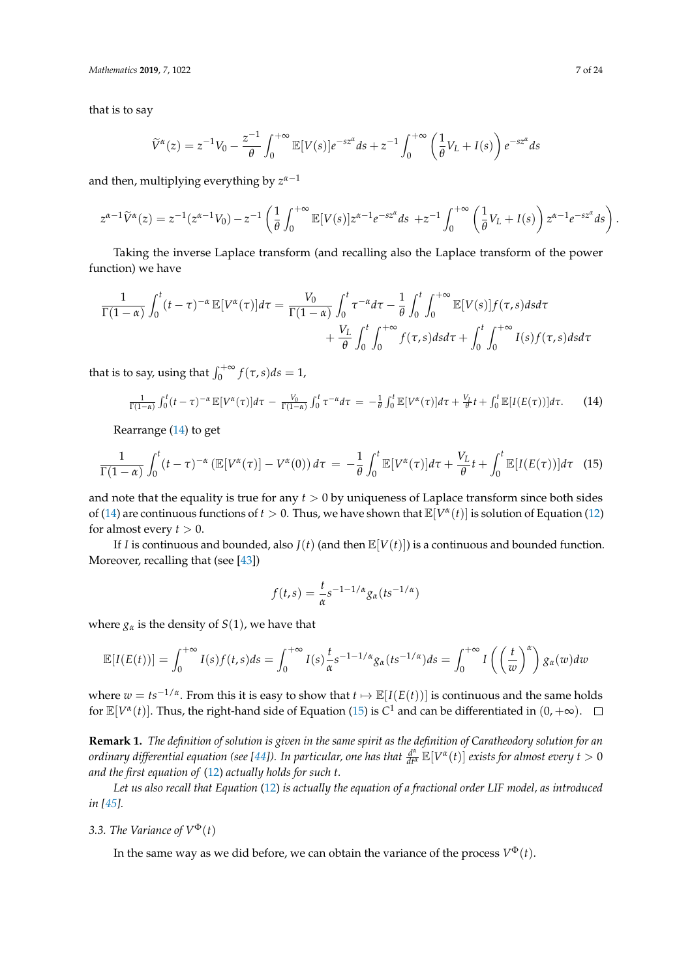*Mathematics* **2019**, *7*, 1022 7 of 24

that is to say

$$
\widetilde{V}^{\alpha}(z) = z^{-1}V_0 - \frac{z^{-1}}{\theta} \int_0^{+\infty} \mathbb{E}[V(s)] e^{-sz^{\alpha}} ds + z^{-1} \int_0^{+\infty} \left(\frac{1}{\theta}V_L + I(s)\right) e^{-sz^{\alpha}} ds
$$

and then, multiplying everything by *z α*−1

$$
z^{\alpha-1}\widetilde{V}^{\alpha}(z) = z^{-1}(z^{\alpha-1}V_0) - z^{-1}\left(\frac{1}{\theta}\int_0^{+\infty} \mathbb{E}[V(s)]z^{\alpha-1}e^{-sz^{\alpha}}ds + z^{-1}\int_0^{+\infty} \left(\frac{1}{\theta}V_L + I(s)\right)z^{\alpha-1}e^{-sz^{\alpha}}ds\right).
$$

Taking the inverse Laplace transform (and recalling also the Laplace transform of the power function) we have

$$
\frac{1}{\Gamma(1-\alpha)}\int_0^t (t-\tau)^{-\alpha} \mathbb{E}[V^{\alpha}(\tau)]d\tau = \frac{V_0}{\Gamma(1-\alpha)}\int_0^t \tau^{-\alpha}d\tau - \frac{1}{\theta}\int_0^t \int_0^{+\infty} \mathbb{E}[V(s)]f(\tau,s)dsd\tau + \frac{V_L}{\theta}\int_0^t \int_0^{+\infty} f(\tau,s)dsd\tau + \int_0^t \int_0^{+\infty} I(s)f(\tau,s)dsd\tau
$$

that is to say, using that  $\int_0^{+\infty} f(\tau, s) ds = 1$ ,

<span id="page-6-0"></span>
$$
\frac{1}{\Gamma(1-\alpha)}\int_0^t (t-\tau)^{-\alpha} \mathbb{E}[V^{\alpha}(\tau)]d\tau - \frac{V_0}{\Gamma(1-\alpha)}\int_0^t \tau^{-\alpha}d\tau = -\frac{1}{\theta}\int_0^t \mathbb{E}[V^{\alpha}(\tau)]d\tau + \frac{V_L}{\theta}t + \int_0^t \mathbb{E}[I(E(\tau))]d\tau.
$$
 (14)

Rearrange [\(14\)](#page-6-0) to get

$$
\frac{1}{\Gamma(1-\alpha)}\int_0^t (t-\tau)^{-\alpha} \left(\mathbb{E}[V^{\alpha}(\tau)] - V^{\alpha}(0)\right) d\tau = -\frac{1}{\theta}\int_0^t \mathbb{E}[V^{\alpha}(\tau)]d\tau + \frac{V_L}{\theta}t + \int_0^t \mathbb{E}[I(E(\tau))]d\tau \quad (15)
$$

and note that the equality is true for any *t* > 0 by uniqueness of Laplace transform since both sides of [\(14\)](#page-6-0) are continuous functions of  $t > 0$ . Thus, we have shown that  $\mathbb{E}[V^{\alpha}(t)]$  is solution of Equation [\(12\)](#page-5-0) for almost every  $t > 0$ .

If *I* is continuous and bounded, also  $J(t)$  (and then  $\mathbb{E}[V(t)]$ ) is a continuous and bounded function. Moreover, recalling that (see [\[43\]](#page-23-15))

<span id="page-6-1"></span>
$$
f(t,s) = \frac{t}{\alpha}s^{-1-1/\alpha}g_{\alpha}(ts^{-1/\alpha})
$$

where  $g_{\alpha}$  is the density of *S*(1), we have that

$$
\mathbb{E}[I(E(t))] = \int_0^{+\infty} I(s)f(t,s)ds = \int_0^{+\infty} I(s)\frac{t}{\alpha}s^{-1-1/\alpha}g_\alpha(ts^{-1/\alpha})ds = \int_0^{+\infty} I\left(\left(\frac{t}{w}\right)^\alpha\right)g_\alpha(w)dw
$$

where  $w = ts^{-1/a}$ . From this it is easy to show that  $t \mapsto \mathbb{E}[I(E(t))]$  is continuous and the same holds for  $\mathbb{E}[V^{\alpha}(t)]$ . Thus, the right-hand side of Equation [\(15\)](#page-6-1) is  $C^{1}$  and can be differentiated in  $(0, +\infty)$ .

**Remark 1.** *The definition of solution is given in the same spirit as the definition of Caratheodory solution for an ordinary differential equation (see [\[44\]](#page-23-16)). In particular, one has that*  $\frac{d^\alpha}{dt^\alpha}\mathbb{E}[V^\alpha(t)]$  *<i>exists for almost every t*  $>0$ *and the first equation of* [\(12\)](#page-5-0) *actually holds for such t.*

*Let us also recall that Equation* [\(12\)](#page-5-0) *is actually the equation of a fractional order LIF model, as introduced in [\[45\]](#page-23-17).*

*3.3. The Variance of*  $V^{\Phi}(t)$ 

In the same way as we did before, we can obtain the variance of the process  $V^{\Phi}(t).$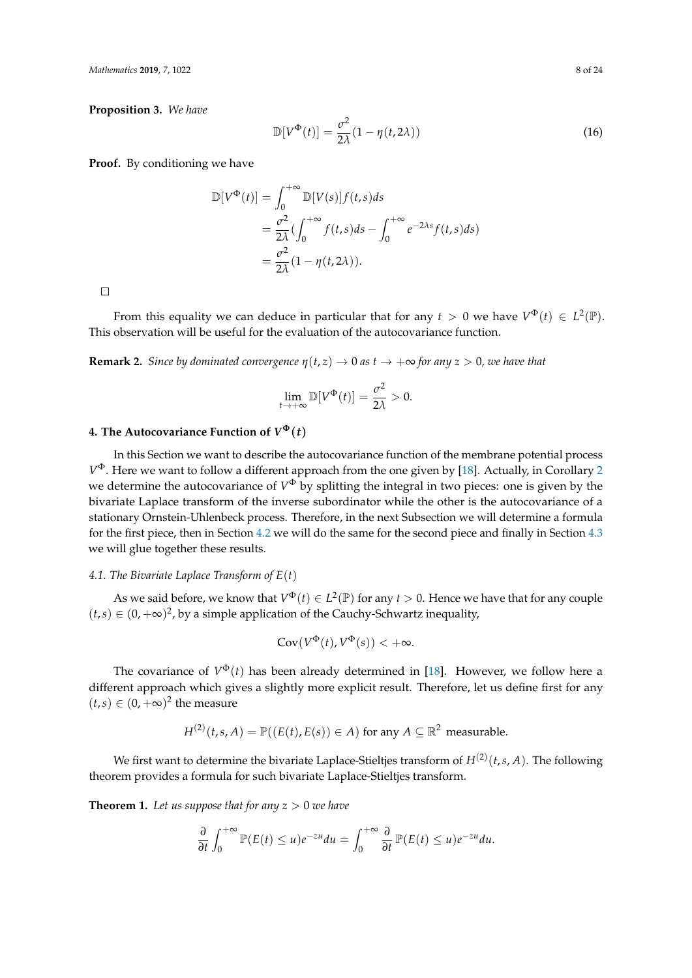*Mathematics* **2019**, *7*, 1022 8 of 24

**Proposition 3.** *We have*

$$
\mathbb{D}[V^{\Phi}(t)] = \frac{\sigma^2}{2\lambda}(1 - \eta(t, 2\lambda))
$$
\n(16)

**Proof.** By conditioning we have

$$
\mathbb{D}[V^{\Phi}(t)] = \int_0^{+\infty} \mathbb{D}[V(s)]f(t,s)ds
$$
  
=  $\frac{\sigma^2}{2\lambda} (\int_0^{+\infty} f(t,s)ds - \int_0^{+\infty} e^{-2\lambda s} f(t,s)ds)$   
=  $\frac{\sigma^2}{2\lambda} (1 - \eta(t,2\lambda)).$ 

 $\Box$ 

From this equality we can deduce in particular that for any  $t > 0$  we have  $V^{\Phi}(t) \in L^2(\mathbb{P})$ . This observation will be useful for the evaluation of the autocovariance function.

**Remark 2.** *Since by dominated convergence*  $\eta(t, z) \to 0$  *as*  $t \to +\infty$  *for any z* > 0*, we have that* 

$$
\lim_{t \to +\infty} \mathbb{D}[V^{\Phi}(t)] = \frac{\sigma^2}{2\lambda} > 0.
$$

## <span id="page-7-0"></span>**4. The Autocovariance Function of**  $V^{\Phi}(t)$

In this Section we want to describe the autocovariance function of the membrane potential process *V* <sup>Φ</sup>. Here we want to follow a different approach from the one given by [\[18\]](#page-22-15). Actually, in Corollary [2](#page-8-1) we determine the autocovariance of  $V^{\Phi}$  by splitting the integral in two pieces: one is given by the bivariate Laplace transform of the inverse subordinator while the other is the autocovariance of a stationary Ornstein-Uhlenbeck process. Therefore, in the next Subsection we will determine a formula for the first piece, then in Section [4.2](#page-8-2) we will do the same for the second piece and finally in Section [4.3](#page-8-3) we will glue together these results.

#### *4.1. The Bivariate Laplace Transform of E*(*t*)

As we said before, we know that  $V^{\Phi}(t) \in L^2(\mathbb{P})$  for any  $t > 0$ . Hence we have that for any couple  $(t, s) \in (0, +\infty)^2$ , by a simple application of the Cauchy-Schwartz inequality,

$$
Cov(V^{\Phi}(t), V^{\Phi}(s)) < +\infty.
$$

The covariance of  $V^{\Phi}(t)$  has been already determined in [\[18\]](#page-22-15). However, we follow here a different approach which gives a slightly more explicit result. Therefore, let us define first for any  $(t, s) \in (0, +\infty)^2$  the measure

$$
H^{(2)}(t,s,A) = \mathbb{P}((E(t),E(s)) \in A) \text{ for any } A \subseteq \mathbb{R}^2 \text{ measurable.}
$$

We first want to determine the bivariate Laplace-Stieltjes transform of  $H^{(2)}(t,s,A)$ . The following theorem provides a formula for such bivariate Laplace-Stieltjes transform.

<span id="page-7-1"></span>**Theorem 1.** Let us suppose that for any  $z > 0$  we have

$$
\frac{\partial}{\partial t}\int_0^{+\infty}\mathbb{P}(E(t)\leq u)e^{-zu}du=\int_0^{+\infty}\frac{\partial}{\partial t}\mathbb{P}(E(t)\leq u)e^{-zu}du.
$$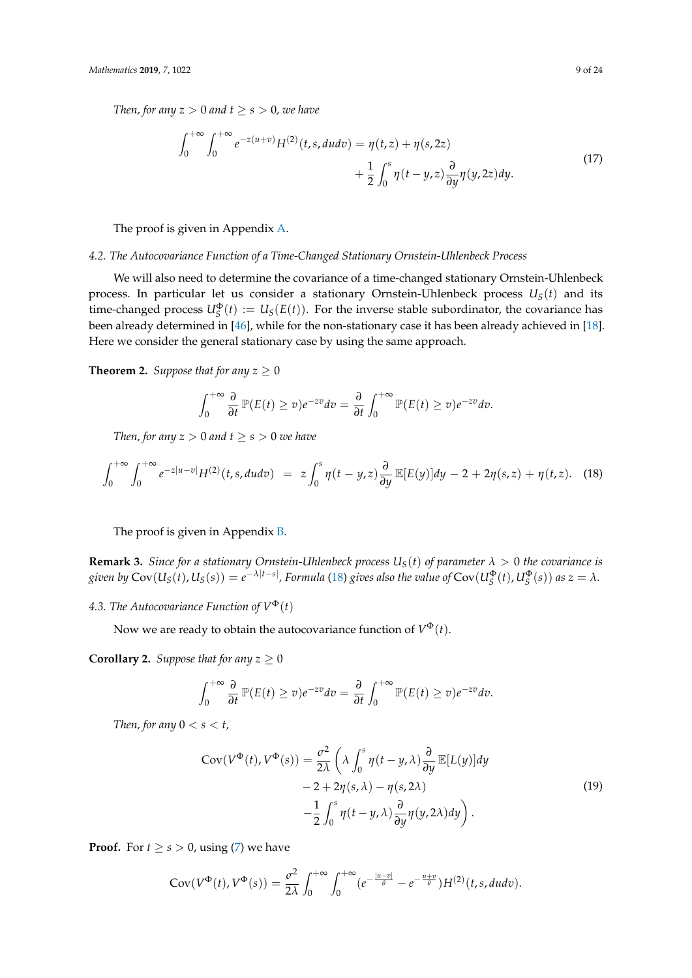*Then, for any*  $z > 0$  *and*  $t \geq s > 0$ *, we have* 

<span id="page-8-5"></span>
$$
\int_0^{+\infty} \int_0^{+\infty} e^{-z(u+v)} H^{(2)}(t, s, du dv) = \eta(t, z) + \eta(s, 2z) \n+ \frac{1}{2} \int_0^s \eta(t - y, z) \frac{\partial}{\partial y} \eta(y, 2z) dy.
$$
\n(17)

The proof is given in Appendix [A.](#page-15-0)

## <span id="page-8-2"></span>*4.2. The Autocovariance Function of a Time-Changed Stationary Ornstein-Uhlenbeck Process*

We will also need to determine the covariance of a time-changed stationary Ornstein-Uhlenbeck process. In particular let us consider a stationary Ornstein-Uhlenbeck process *US*(*t*) and its time-changed process  $U_S^{\Phi}(t) := U_S(E(t))$ . For the inverse stable subordinator, the covariance has been already determined in [\[46\]](#page-23-18), while for the non-stationary case it has been already achieved in [\[18\]](#page-22-15). Here we consider the general stationary case by using the same approach.

<span id="page-8-0"></span>**Theorem 2.** *Suppose that for any*  $z \geq 0$ 

<span id="page-8-4"></span>
$$
\int_0^{+\infty} \frac{\partial}{\partial t} \mathbb{P}(E(t) \ge v) e^{-zv} dv = \frac{\partial}{\partial t} \int_0^{+\infty} \mathbb{P}(E(t) \ge v) e^{-zv} dv.
$$

*Then, for any*  $z > 0$  *and*  $t \geq s > 0$  *we have* 

$$
\int_0^{+\infty} \int_0^{+\infty} e^{-z|u-v|} H^{(2)}(t,s, dudv) = z \int_0^s \eta(t-y,z) \frac{\partial}{\partial y} \mathbb{E}[E(y)] dy - 2 + 2\eta(s,z) + \eta(t,z). \tag{18}
$$

The proof is given in Appendix [B.](#page-19-0)

**Remark 3.** *Since for a stationary Ornstein-Uhlenbeck process*  $U_S(t)$  *of parameter*  $\lambda > 0$  *the covariance is* given by  $\text{Cov}(U_S(t),U_S(s))=e^{-\lambda|t-s|}$ , Formula [\(18\)](#page-8-4) gives also the value of  $\text{Cov}(U_S^\Phi(t),U_S^\Phi(s))$  as  $z=\lambda$ .

<span id="page-8-3"></span>4.3. The Autocovariance Function of  $V^{\Phi}(t)$ 

Now we are ready to obtain the autocovariance function of  $V^{\Phi}(t)$ .

<span id="page-8-1"></span>**Corollary 2.** *Suppose that for any*  $z \geq 0$ 

$$
\int_0^{+\infty} \frac{\partial}{\partial t} \mathbb{P}(E(t) \ge v) e^{-zv} dv = \frac{\partial}{\partial t} \int_0^{+\infty} \mathbb{P}(E(t) \ge v) e^{-zv} dv.
$$

*Then, for any*  $0 < s < t$ *,* 

$$
Cov(V^{\Phi}(t), V^{\Phi}(s)) = \frac{\sigma^2}{2\lambda} \left( \lambda \int_0^s \eta(t - y, \lambda) \frac{\partial}{\partial y} \mathbb{E}[L(y)] dy - 2 + 2\eta(s, \lambda) - \eta(s, 2\lambda) - \frac{1}{2} \int_0^s \eta(t - y, \lambda) \frac{\partial}{\partial y} \eta(y, 2\lambda) dy \right).
$$
\n(19)

**Proof.** For  $t \geq s > 0$ , using [\(7\)](#page-3-1) we have

$$
Cov(V^{\Phi}(t), V^{\Phi}(s)) = \frac{\sigma^2}{2\lambda} \int_0^{+\infty} \int_0^{+\infty} (e^{-\frac{|u-v|}{\theta}} - e^{-\frac{u+v}{\theta}})H^{(2)}(t,s, dudv).
$$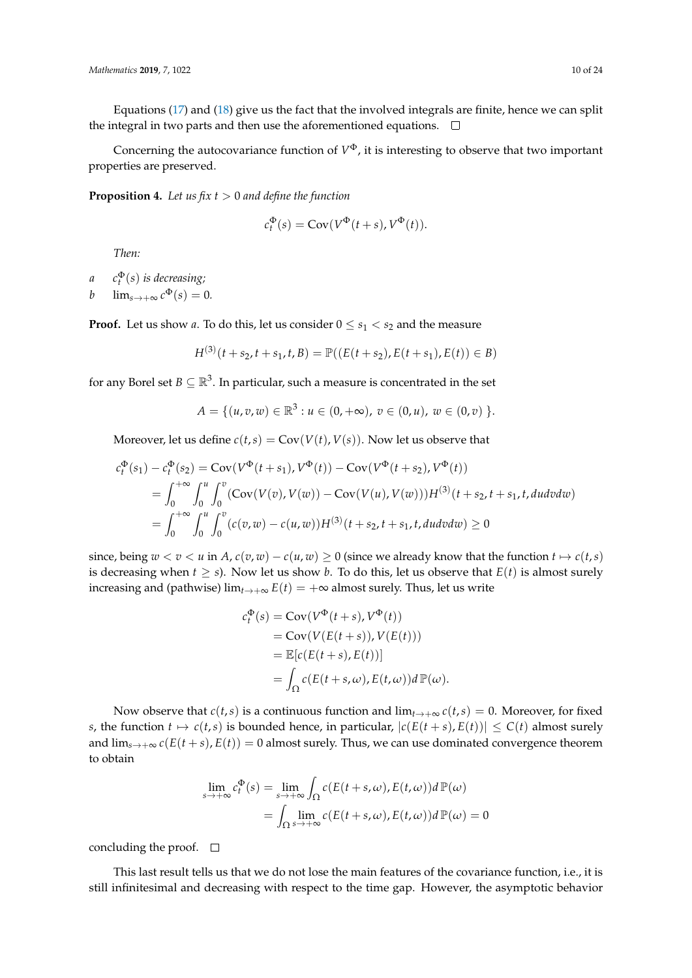Equations [\(17\)](#page-8-5) and [\(18\)](#page-8-4) give us the fact that the involved integrals are finite, hence we can split the integral in two parts and then use the aforementioned equations.  $\Box$ 

Concerning the autocovariance function of *V* <sup>Φ</sup>, it is interesting to observe that two important properties are preserved.

**Proposition 4.** *Let us fix t* > 0 *and define the function*

$$
c_t^{\Phi}(s) = \text{Cov}(V^{\Phi}(t+s), V^{\Phi}(t)).
$$

*Then:*

- *a c* Φ *t* (*s*) *is decreasing;*
- *b*  $\lim_{s\to+\infty} c^{\Phi}(s) = 0.$

**Proof.** Let us show *a*. To do this, let us consider  $0 \le s_1 < s_2$  and the measure

$$
H^{(3)}(t+s_2, t+s_1, t, B) = \mathbb{P}((E(t+s_2), E(t+s_1), E(t)) \in B)
$$

for any Borel set  $B\subseteq \mathbb{R}^3.$  In particular, such a measure is concentrated in the set

$$
A = \{ (u, v, w) \in \mathbb{R}^3 : u \in (0, +\infty), v \in (0, u), w \in (0, v) \}.
$$

Moreover, let us define  $c(t,s) = Cov(V(t), V(s))$ . Now let us observe that

$$
c_t^{\Phi}(s_1) - c_t^{\Phi}(s_2) = \text{Cov}(V^{\Phi}(t + s_1), V^{\Phi}(t)) - \text{Cov}(V^{\Phi}(t + s_2), V^{\Phi}(t))
$$
  
= 
$$
\int_0^{+\infty} \int_0^u \int_0^v (\text{Cov}(V(v), V(w)) - \text{Cov}(V(u), V(w)))H^{(3)}(t + s_2, t + s_1, t, dudvdw)
$$
  
= 
$$
\int_0^{+\infty} \int_0^u \int_0^v (c(v, w) - c(u, w))H^{(3)}(t + s_2, t + s_1, t, dudvdw) \ge 0
$$

since, being  $w < v < u$  in  $A$ ,  $c(v, w) - c(u, w) \ge 0$  (since we already know that the function  $t \mapsto c(t, s)$ ) is decreasing when  $t \geq s$ ). Now let us show *b*. To do this, let us observe that  $E(t)$  is almost surely increasing and (pathwise)  $\lim_{t\to+\infty} E(t) = +\infty$  almost surely. Thus, let us write

$$
c_t^{\Phi}(s) = \text{Cov}(V^{\Phi}(t+s), V^{\Phi}(t))
$$
  
= Cov(V(E(t+s)), V(E(t)))  
=  $\mathbb{E}[c(E(t+s), E(t))]$   
=  $\int_{\Omega} c(E(t+s,\omega), E(t,\omega))d\mathbb{P}(\omega).$ 

Now observe that  $c(t, s)$  is a continuous function and  $\lim_{t\to+\infty} c(t, s) = 0$ . Moreover, for fixed *s*, the function  $t \mapsto c(t,s)$  is bounded hence, in particular,  $|c(E(t+s), E(t))| \leq C(t)$  almost surely and  $\lim_{s\to+\infty} c(E(t+s), E(t)) = 0$  almost surely. Thus, we can use dominated convergence theorem to obtain

$$
\lim_{s \to +\infty} c_t^{\Phi}(s) = \lim_{s \to +\infty} \int_{\Omega} c(E(t+s,\omega), E(t,\omega))d\mathbb{P}(\omega)
$$

$$
= \int_{\Omega} \lim_{s \to +\infty} c(E(t+s,\omega), E(t,\omega))d\mathbb{P}(\omega) = 0
$$

concluding the proof.  $\square$ 

This last result tells us that we do not lose the main features of the covariance function, i.e., it is still infinitesimal and decreasing with respect to the time gap. However, the asymptotic behavior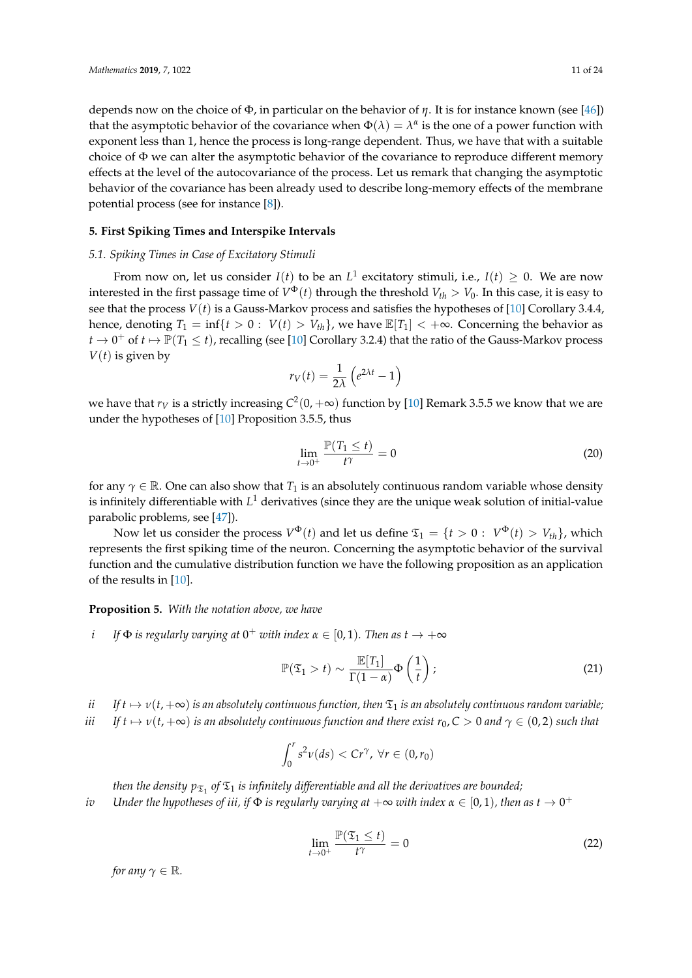depends now on the choice of Φ, in particular on the behavior of *η*. It is for instance known (see [\[46\]](#page-23-18)) that the asymptotic behavior of the covariance when  $\Phi(\lambda) = \lambda^{\alpha}$  is the one of a power function with exponent less than 1, hence the process is long-range dependent. Thus, we have that with a suitable choice of  $\Phi$  we can alter the asymptotic behavior of the covariance to reproduce different memory effects at the level of the autocovariance of the process. Let us remark that changing the asymptotic behavior of the covariance has been already used to describe long-memory effects of the membrane potential process (see for instance [\[8\]](#page-22-7)).

### <span id="page-10-0"></span>**5. First Spiking Times and Interspike Intervals**

#### *5.1. Spiking Times in Case of Excitatory Stimuli*

From now on, let us consider  $I(t)$  to be an  $L^1$  excitatory stimuli, i.e.,  $I(t) \geq 0$ . We are now interested in the first passage time of  $V^{\Phi}(t)$  through the threshold  $V_{th} > V_0$ . In this case, it is easy to see that the process *V*(*t*) is a Gauss-Markov process and satisfies the hypotheses of [\[10\]](#page-22-9) Corollary 3.4.4, hence, denoting  $T_1 = \inf\{t > 0 : V(t) > V_t\}$ , we have  $\mathbb{E}[T_1] < +\infty$ . Concerning the behavior as  $t\to 0^+$  of  $t\mapsto \mathbb{P}(T_1\leq t)$ , recalling (see [\[10\]](#page-22-9) Corollary 3.2.4) that the ratio of the Gauss-Markov process  $V(t)$  is given by

$$
r_V(t) = \frac{1}{2\lambda} \left( e^{2\lambda t} - 1 \right)
$$

we have that  $r_V$  is a strictly increasing  $C^2(0,+\infty)$  function by [\[10\]](#page-22-9) Remark 3.5.5 we know that we are under the hypotheses of [\[10\]](#page-22-9) Proposition 3.5.5, thus

<span id="page-10-1"></span>
$$
\lim_{t \to 0^+} \frac{\mathbb{P}(T_1 \le t)}{t^{\gamma}} = 0
$$
\n(20)

for any  $\gamma \in \mathbb{R}$ . One can also show that  $T_1$  is an absolutely continuous random variable whose density is infinitely differentiable with  $L^1$  derivatives (since they are the unique weak solution of initial-value parabolic problems, see [\[47\]](#page-23-19)).

Now let us consider the process  $V^{\Phi}(t)$  and let us define  $\mathfrak{T}_1 = \{t > 0: \; V^{\Phi}(t) > V_{th}\}$ , which represents the first spiking time of the neuron. Concerning the asymptotic behavior of the survival function and the cumulative distribution function we have the following proposition as an application of the results in [\[10\]](#page-22-9).

<span id="page-10-2"></span>**Proposition 5.** *With the notation above, we have*

*i If*  $\Phi$  *is regularly varying at*  $0^+$  *with index*  $\alpha \in [0, 1)$ *. Then as*  $t \to +\infty$ 

$$
\mathbb{P}(\mathfrak{T}_1 > t) \sim \frac{\mathbb{E}[T_1]}{\Gamma(1-\alpha)} \Phi\left(\frac{1}{t}\right);
$$
\n(21)

*ii* If  $t \mapsto v(t, +\infty)$  *is an absolutely continuous function, then*  $\mathfrak{T}_1$  *is an absolutely continuous random variable;* 

*iii*  $If t \mapsto \nu(t, +\infty)$  *is an absolutely continuous function and there exist*  $r_0$ ,  $C > 0$  *and*  $\gamma \in (0, 2)$  *such that* 

$$
\int_0^r s^2 \nu(ds) < C r^\gamma, \ \forall r \in (0, r_0)
$$

then the density  $p_{\mathfrak{T}_1}$  of  $\mathfrak{T}_1$  is infinitely differentiable and all the derivatives are bounded;

*iv*  $\;$  Under the hypotheses of iii, if  $\Phi$  is regularly varying at  $+\infty$  with index  $\alpha \in [0,1)$ , then as  $t \to 0^+$ 

$$
\lim_{t \to 0^+} \frac{\mathbb{P}(\mathfrak{T}_1 \le t)}{t^{\gamma}} = 0
$$
\n(22)

*for any*  $\gamma \in \mathbb{R}$ *.*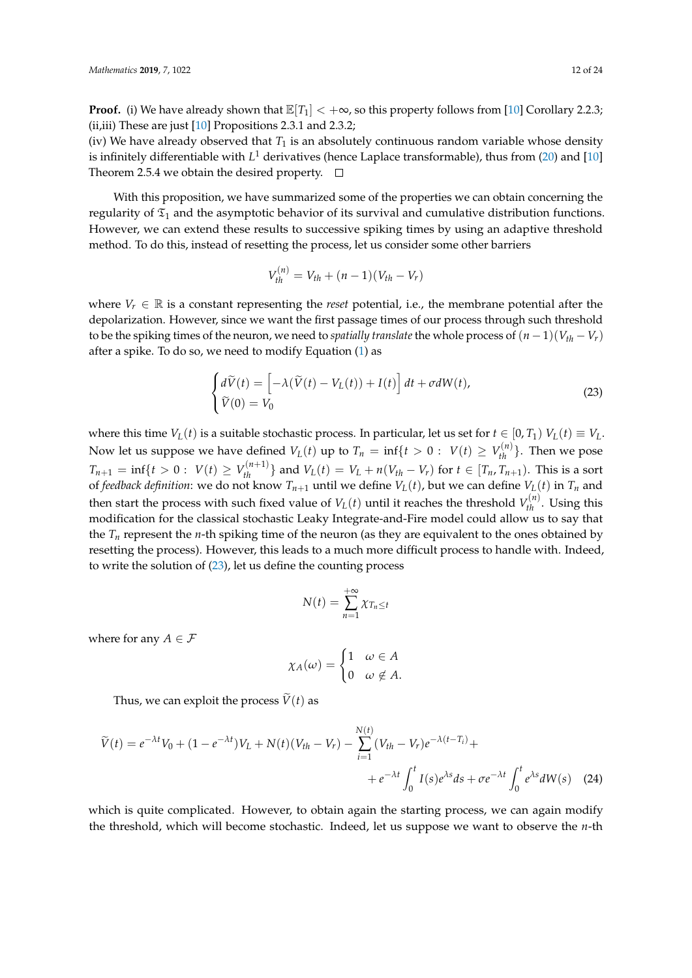**Proof.** (i) We have already shown that  $\mathbb{E}[T_1] < +\infty$ , so this property follows from [\[10\]](#page-22-9) Corollary 2.2.3; (ii,iii) These are just [\[10\]](#page-22-9) Propositions 2.3.1 and 2.3.2;

(iv) We have already observed that  $T_1$  is an absolutely continuous random variable whose density is infinitely differentiable with *L* <sup>1</sup> derivatives (hence Laplace transformable), thus from [\(20\)](#page-10-1) and [\[10\]](#page-22-9) Theorem 2.5.4 we obtain the desired property.  $\Box$ 

With this proposition, we have summarized some of the properties we can obtain concerning the regularity of  $\mathfrak{T}_1$  and the asymptotic behavior of its survival and cumulative distribution functions. However, we can extend these results to successive spiking times by using an adaptive threshold method. To do this, instead of resetting the process, let us consider some other barriers

$$
V_{th}^{(n)} = V_{th} + (n-1)(V_{th} - V_r)
$$

where  $V_r \in \mathbb{R}$  is a constant representing the *reset* potential, i.e., the membrane potential after the depolarization. However, since we want the first passage times of our process through such threshold to be the spiking times of the neuron, we need to *spatially translate* the whole process of  $(n - 1)(V_{th} - V_r)$ after a spike. To do so, we need to modify Equation [\(1\)](#page-1-1) as

<span id="page-11-0"></span>
$$
\begin{cases}\n d\widetilde{V}(t) = \left[ -\lambda(\widetilde{V}(t) - V_L(t)) + I(t) \right] dt + \sigma dW(t), \\
 \widetilde{V}(0) = V_0\n\end{cases}
$$
\n(23)

where this time  $V_L(t)$  is a suitable stochastic process. In particular, let us set for  $t \in [0, T_1)$   $V_L(t) \equiv V_L$ . Now let us suppose we have defined  $V_L(t)$  up to  $T_n = \inf\{t > 0: V(t) \ge V_{th}^{(n)}\}$ . Then we pose  $T_{n+1} = \inf\{t > 0: V(t) \ge V_{th}^{(n+1)}\}\$ and  $V_L(t) = V_L + n(V_{th} - V_r)$  for  $t \in [T_n, T_{n+1})$ . This is a sort of *feedback definition*: we do not know  $T_{n+1}$  until we define  $V_L(t)$ , but we can define  $V_L(t)$  in  $T_n$  and then start the process with such fixed value of  $V_L(t)$  until it reaches the threshold  $V_{th}^{(n)}$ . Using this modification for the classical stochastic Leaky Integrate-and-Fire model could allow us to say that the  $T<sub>n</sub>$  represent the *n*-th spiking time of the neuron (as they are equivalent to the ones obtained by resetting the process). However, this leads to a much more difficult process to handle with. Indeed, to write the solution of [\(23\)](#page-11-0), let us define the counting process

$$
N(t) = \sum_{n=1}^{+\infty} \chi_{T_n \leq t}
$$

where for any  $A \in \mathcal{F}$ 

$$
\chi_A(\omega) = \begin{cases} 1 & \omega \in A \\ 0 & \omega \notin A. \end{cases}
$$

Thus, we can exploit the process  $\tilde{V}(t)$  as

$$
\widetilde{V}(t) = e^{-\lambda t} V_0 + (1 - e^{-\lambda t}) V_L + N(t) (V_{th} - V_r) - \sum_{i=1}^{N(t)} (V_{th} - V_r) e^{-\lambda (t - T_i)} +
$$
  
+ 
$$
e^{-\lambda t} \int_0^t I(s) e^{\lambda s} ds + \sigma e^{-\lambda t} \int_0^t e^{\lambda s} dW(s) \quad (24)
$$

which is quite complicated. However, to obtain again the starting process, we can again modify the threshold, which will become stochastic. Indeed, let us suppose we want to observe the *n*-th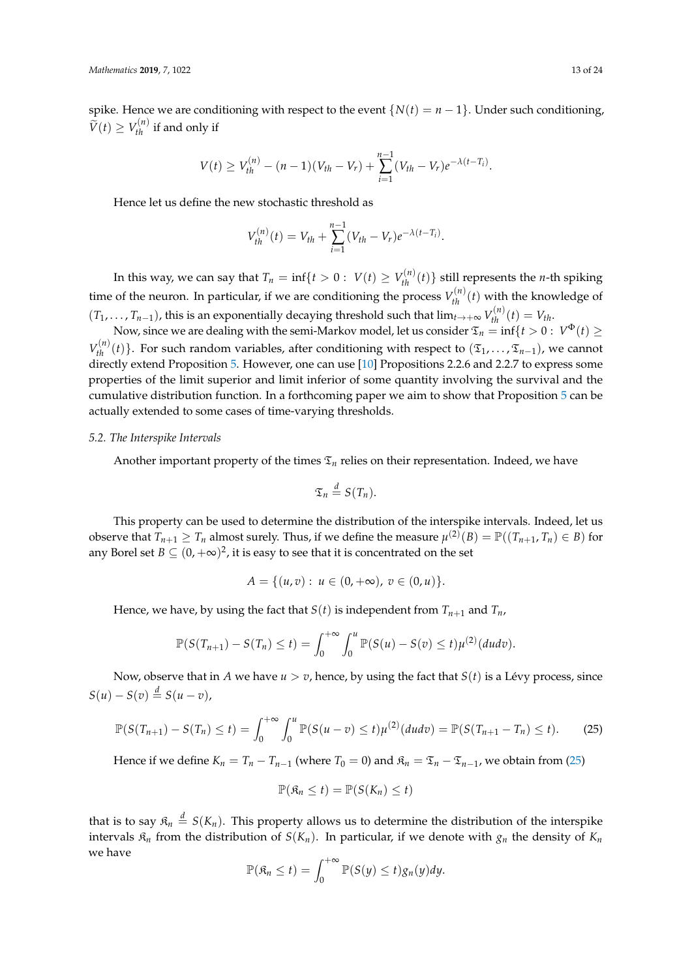spike. Hence we are conditioning with respect to the event  $\{N(t) = n - 1\}$ . Under such conditioning,  $\widetilde{V}(t) \geq V_{th}^{(n)}$  if and only if

$$
V(t) \geq V_{th}^{(n)} - (n-1)(V_{th} - V_r) + \sum_{i=1}^{n-1} (V_{th} - V_r)e^{-\lambda(t-T_i)}.
$$

Hence let us define the new stochastic threshold as

$$
V_{th}^{(n)}(t) = V_{th} + \sum_{i=1}^{n-1} (V_{th} - V_r)e^{-\lambda(t-T_i)}.
$$

In this way, we can say that  $T_n = \inf\{t > 0: \ V(t) \ge V_{th}^{(n)}(t)\}$  still represents the *n*-th spiking time of the neuron. In particular, if we are conditioning the process  $V_{th}^{(n)}(t)$  with the knowledge of  $(T_1, \ldots, T_{n-1})$ , this is an exponentially decaying threshold such that  $\lim_{t\to+\infty} V_{th}^{(n)}(t) = V_{th}$ .

Now, since we are dealing with the semi-Markov model, let us consider  $\mathfrak{T}_n=\inf\{t>0:\,V^\Phi(t)\geq 0\}$  $V_{th}^{(n)}(t)$ }. For such random variables, after conditioning with respect to  $(\mathfrak{T}_1,\ldots,\mathfrak{T}_{n-1})$ , we cannot directly extend Proposition [5.](#page-10-2) However, one can use [\[10\]](#page-22-9) Propositions 2.2.6 and 2.2.7 to express some properties of the limit superior and limit inferior of some quantity involving the survival and the cumulative distribution function. In a forthcoming paper we aim to show that Proposition [5](#page-10-2) can be actually extended to some cases of time-varying thresholds.

## *5.2. The Interspike Intervals*

Another important property of the times  $\mathfrak{T}_n$  relies on their representation. Indeed, we have

$$
\mathfrak{T}_n \stackrel{d}{=} S(T_n).
$$

This property can be used to determine the distribution of the interspike intervals. Indeed, let us observe that  $T_{n+1} \geq T_n$  almost surely. Thus, if we define the measure  $\mu^{(2)}(B) = \mathbb{P}((T_{n+1}, T_n) \in B)$  for any Borel set  $B \subseteq (0, +\infty)^2$ , it is easy to see that it is concentrated on the set

$$
A = \{ (u, v) : u \in (0, +\infty), v \in (0, u) \}.
$$

Hence, we have, by using the fact that *S*(*t*) is independent from  $T_{n+1}$  and  $T_n$ ,

$$
\mathbb{P}(S(T_{n+1})-S(T_n)\leq t)=\int_0^{+\infty}\int_0^u \mathbb{P}(S(u)-S(v)\leq t)\mu^{(2)}(dudv).
$$

Now, observe that in *A* we have  $u > v$ , hence, by using the fact that  $S(t)$  is a Lévy process, since  $S(u) - S(v) \stackrel{d}{=} S(u-v)$ ,

<span id="page-12-0"></span>
$$
\mathbb{P}(S(T_{n+1}) - S(T_n) \le t) = \int_0^{+\infty} \int_0^u \mathbb{P}(S(u-v) \le t) \mu^{(2)}(dudv) = \mathbb{P}(S(T_{n+1} - T_n) \le t). \tag{25}
$$

Hence if we define  $K_n = T_n - T_{n-1}$  (where  $T_0 = 0$ ) and  $\mathfrak{K}_n = \mathfrak{T}_n - \mathfrak{T}_{n-1}$ , we obtain from [\(25\)](#page-12-0)

$$
\mathbb{P}(\mathfrak{K}_n \leq t) = \mathbb{P}(S(K_n) \leq t)
$$

that is to say  $\mathfrak{K}_n \stackrel{d}{=} S(K_n)$ . This property allows us to determine the distribution of the interspike intervals  $\mathfrak{K}_n$  from the distribution of  $S(K_n)$ . In particular, if we denote with  $g_n$  the density of  $K_n$ we have

$$
\mathbb{P}(\mathfrak{K}_n \leq t) = \int_0^{+\infty} \mathbb{P}(S(y) \leq t) g_n(y) dy.
$$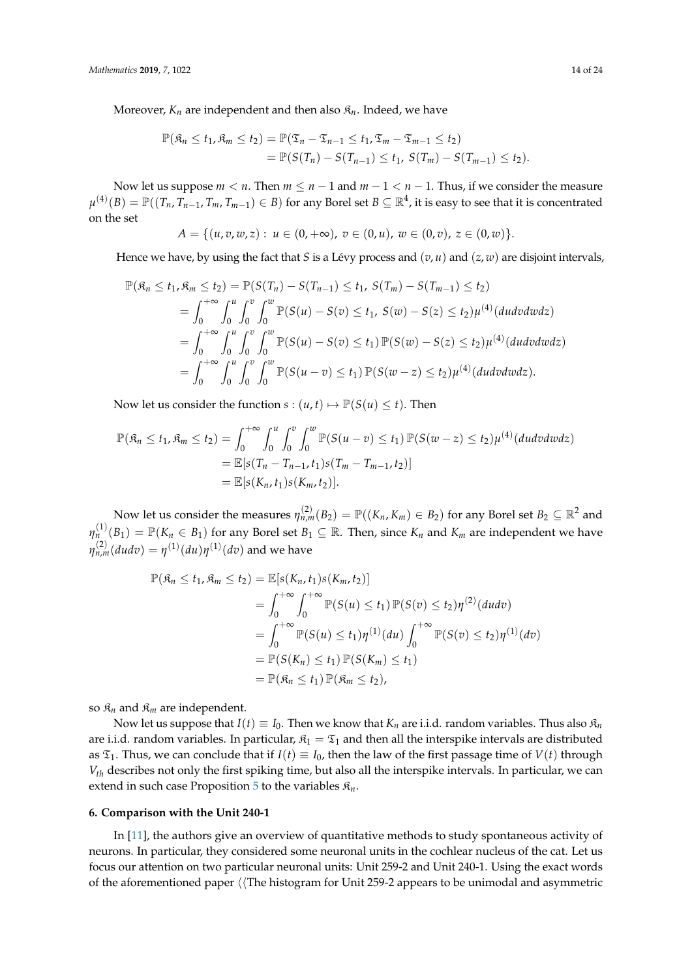Moreover,  $K_n$  are independent and then also  $\mathfrak{K}_n$ . Indeed, we have

$$
\mathbb{P}(\mathfrak{K}_n \leq t_1, \mathfrak{K}_m \leq t_2) = \mathbb{P}(\mathfrak{T}_n - \mathfrak{T}_{n-1} \leq t_1, \mathfrak{T}_m - \mathfrak{T}_{m-1} \leq t_2) \n= \mathbb{P}(S(T_n) - S(T_{n-1}) \leq t_1, S(T_m) - S(T_{m-1}) \leq t_2).
$$

Now let us suppose  $m < n$ . Then  $m \le n - 1$  and  $m - 1 < n - 1$ . Thus, if we consider the measure  $\mu^{(4)}(B)=\mathbb{P}((\,_n,T_{n-1},T_m,T_{m-1})\in B)$  for any Borel set  $B\subseteq\mathbb{R}^4$ , it is easy to see that it is concentrated on the set

$$
A = \{(u, v, w, z): u \in (0, +\infty), v \in (0, u), w \in (0, v), z \in (0, w)\}.
$$

Hence we have, by using the fact that *S* is a Lévy process and (*v*, *u*) and (*z*, *w*) are disjoint intervals,

$$
\mathbb{P}(\mathfrak{K}_n \leq t_1, \mathfrak{K}_m \leq t_2) = \mathbb{P}(S(T_n) - S(T_{n-1}) \leq t_1, S(T_m) - S(T_{m-1}) \leq t_2)
$$
  
\n
$$
= \int_0^{+\infty} \int_0^u \int_0^v \int_0^w \mathbb{P}(S(u) - S(v) \leq t_1, S(w) - S(z) \leq t_2) \mu^{(4)}(dudvdwdz)
$$
  
\n
$$
= \int_0^{+\infty} \int_0^u \int_0^v \int_0^w \mathbb{P}(S(u) - S(v) \leq t_1) \mathbb{P}(S(w) - S(z) \leq t_2) \mu^{(4)}(dudvdwdz)
$$
  
\n
$$
= \int_0^{+\infty} \int_0^u \int_0^v \int_0^w \mathbb{P}(S(u - v) \leq t_1) \mathbb{P}(S(w - z) \leq t_2) \mu^{(4)}(dudvdwdz).
$$

Now let us consider the function  $s : (u, t) \mapsto \mathbb{P}(S(u) \le t)$ . Then

$$
\mathbb{P}(\mathfrak{K}_n \le t_1, \mathfrak{K}_m \le t_2) = \int_0^{+\infty} \int_0^u \int_0^v \int_0^w \mathbb{P}(S(u-v) \le t_1) \mathbb{P}(S(w-z) \le t_2) \mu^{(4)}(dudvdwdz)
$$
  
=  $\mathbb{E}[s(T_n - T_{n-1}, t_1)s(T_m - T_{m-1}, t_2)]$   
=  $\mathbb{E}[s(K_n, t_1)s(K_m, t_2)].$ 

Now let us consider the measures  $\eta_{n,m}^{(2)}(B_2)=\mathbb{P}((K_n,K_m)\in B_2)$  for any Borel set  $B_2\subseteq \mathbb{R}^2$  and  $\eta_n^{(1)}(B_1) = \mathbb{P}(K_n \in B_1)$  for any Borel set  $B_1 \subseteq \mathbb{R}$ . Then, since  $K_n$  and  $K_m$  are independent we have  $\eta_{n,m}^{(2)}(dudv)=\eta^{(1)}(du)\eta^{(1)}(dv)$  and we have

$$
\mathbb{P}(\mathfrak{K}_n \le t_1, \mathfrak{K}_m \le t_2) = \mathbb{E}[s(K_n, t_1)s(K_m, t_2)]
$$
  
\n
$$
= \int_0^{+\infty} \int_0^{+\infty} \mathbb{P}(S(u) \le t_1) \mathbb{P}(S(v) \le t_2) \eta^{(2)}(dudv)
$$
  
\n
$$
= \int_0^{+\infty} \mathbb{P}(S(u) \le t_1) \eta^{(1)}(du) \int_0^{+\infty} \mathbb{P}(S(v) \le t_2) \eta^{(1)}(dv)
$$
  
\n
$$
= \mathbb{P}(S(K_n) \le t_1) \mathbb{P}(S(K_m) \le t_1)
$$
  
\n
$$
= \mathbb{P}(\mathfrak{K}_n \le t_1) \mathbb{P}(\mathfrak{K}_m \le t_2),
$$

so  $\mathfrak{K}_n$  and  $\mathfrak{K}_m$  are independent.

Now let us suppose that  $I(t) \equiv I_0$ . Then we know that  $K_n$  are i.i.d. random variables. Thus also  $\mathfrak{K}_n$ are i.i.d. random variables. In particular,  $\mathfrak{K}_1 = \mathfrak{T}_1$  and then all the interspike intervals are distributed as  $\mathfrak{T}_1$ . Thus, we can conclude that if  $I(t) \equiv I_0$ , then the law of the first passage time of  $V(t)$  through *Vth* describes not only the first spiking time, but also all the interspike intervals. In particular, we can extend in such case Proposition  $5$  to the variables  $\mathfrak{K}_n$ .

#### <span id="page-13-0"></span>**6. Comparison with the Unit 240-1**

In [\[11\]](#page-22-10), the authors give an overview of quantitative methods to study spontaneous activity of neurons. In particular, they considered some neuronal units in the cochlear nucleus of the cat. Let us focus our attention on two particular neuronal units: Unit 259-2 and Unit 240-1. Using the exact words of the aforementioned paper  $\langle$  The histogram for Unit 259-2 appears to be unimodal and asymmetric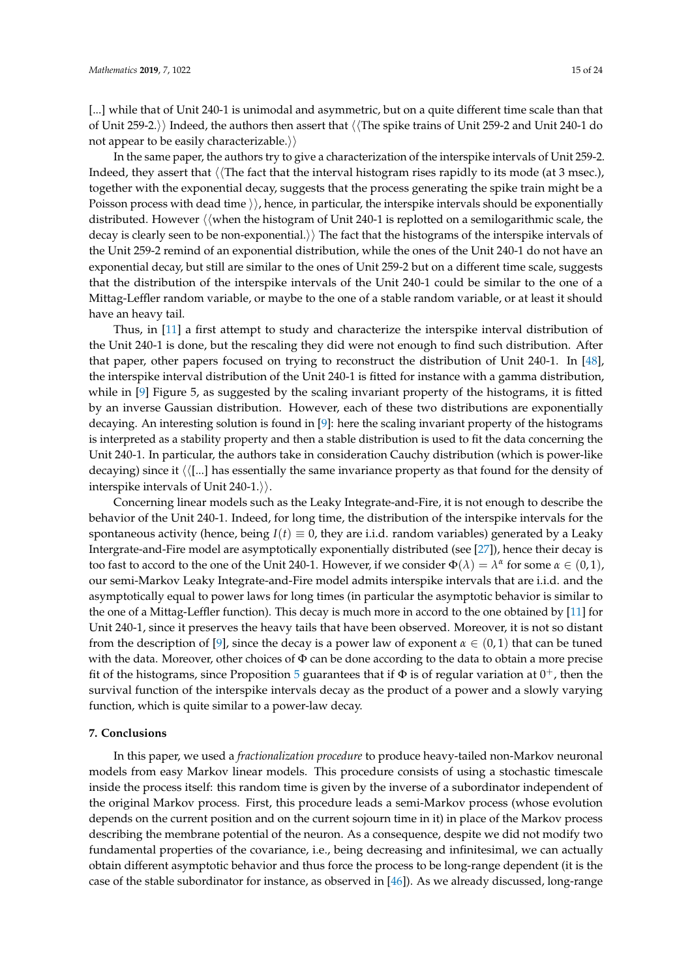[...] while that of Unit 240-1 is unimodal and asymmetric, but on a quite different time scale than that of Unit 259-2.) Indeed, the authors then assert that  $\langle\langle\text{The spike trains of Unit 259-2 and Unit 240-1 do}\rangle$ not appear to be easily characterizable. $\rangle$ 

In the same paper, the authors try to give a characterization of the interspike intervals of Unit 259-2. Indeed, they assert that  $\langle$  The fact that the interval histogram rises rapidly to its mode (at 3 msec.), together with the exponential decay, suggests that the process generating the spike train might be a Poisson process with dead time  $\rangle$ , hence, in particular, the interspike intervals should be exponentially distributed. However  $\langle\langle$  when the histogram of Unit 240-1 is replotted on a semilogarithmic scale, the decay is clearly seen to be non-exponential.) The fact that the histograms of the interspike intervals of the Unit 259-2 remind of an exponential distribution, while the ones of the Unit 240-1 do not have an exponential decay, but still are similar to the ones of Unit 259-2 but on a different time scale, suggests that the distribution of the interspike intervals of the Unit 240-1 could be similar to the one of a Mittag-Leffler random variable, or maybe to the one of a stable random variable, or at least it should have an heavy tail.

Thus, in [\[11\]](#page-22-10) a first attempt to study and characterize the interspike interval distribution of the Unit 240-1 is done, but the rescaling they did were not enough to find such distribution. After that paper, other papers focused on trying to reconstruct the distribution of Unit 240-1. In [\[48\]](#page-23-20), the interspike interval distribution of the Unit 240-1 is fitted for instance with a gamma distribution, while in [\[9\]](#page-22-8) Figure 5, as suggested by the scaling invariant property of the histograms, it is fitted by an inverse Gaussian distribution. However, each of these two distributions are exponentially decaying. An interesting solution is found in [\[9\]](#page-22-8): here the scaling invariant property of the histograms is interpreted as a stability property and then a stable distribution is used to fit the data concerning the Unit 240-1. In particular, the authors take in consideration Cauchy distribution (which is power-like decaying) since it  $\langle \langle ... \rangle$  has essentially the same invariance property as that found for the density of interspike intervals of Unit 240-1. $\rangle$ .

Concerning linear models such as the Leaky Integrate-and-Fire, it is not enough to describe the behavior of the Unit 240-1. Indeed, for long time, the distribution of the interspike intervals for the spontaneous activity (hence, being  $I(t) \equiv 0$ , they are i.i.d. random variables) generated by a Leaky Intergrate-and-Fire model are asymptotically exponentially distributed (see [\[27\]](#page-23-6)), hence their decay is too fast to accord to the one of the Unit 240-1. However, if we consider  $\Phi(\lambda) = \lambda^{\alpha}$  for some  $\alpha \in (0,1)$ , our semi-Markov Leaky Integrate-and-Fire model admits interspike intervals that are i.i.d. and the asymptotically equal to power laws for long times (in particular the asymptotic behavior is similar to the one of a Mittag-Leffler function). This decay is much more in accord to the one obtained by [\[11\]](#page-22-10) for Unit 240-1, since it preserves the heavy tails that have been observed. Moreover, it is not so distant from the description of [\[9\]](#page-22-8), since the decay is a power law of exponent  $\alpha \in (0,1)$  that can be tuned with the data. Moreover, other choices of  $\Phi$  can be done according to the data to obtain a more precise fit of the histograms, since Proposition [5](#page-10-2) guarantees that if  $\Phi$  is of regular variation at  $0^+$ , then the survival function of the interspike intervals decay as the product of a power and a slowly varying function, which is quite similar to a power-law decay.

### <span id="page-14-0"></span>**7. Conclusions**

In this paper, we used a *fractionalization procedure* to produce heavy-tailed non-Markov neuronal models from easy Markov linear models. This procedure consists of using a stochastic timescale inside the process itself: this random time is given by the inverse of a subordinator independent of the original Markov process. First, this procedure leads a semi-Markov process (whose evolution depends on the current position and on the current sojourn time in it) in place of the Markov process describing the membrane potential of the neuron. As a consequence, despite we did not modify two fundamental properties of the covariance, i.e., being decreasing and infinitesimal, we can actually obtain different asymptotic behavior and thus force the process to be long-range dependent (it is the case of the stable subordinator for instance, as observed in [\[46\]](#page-23-18)). As we already discussed, long-range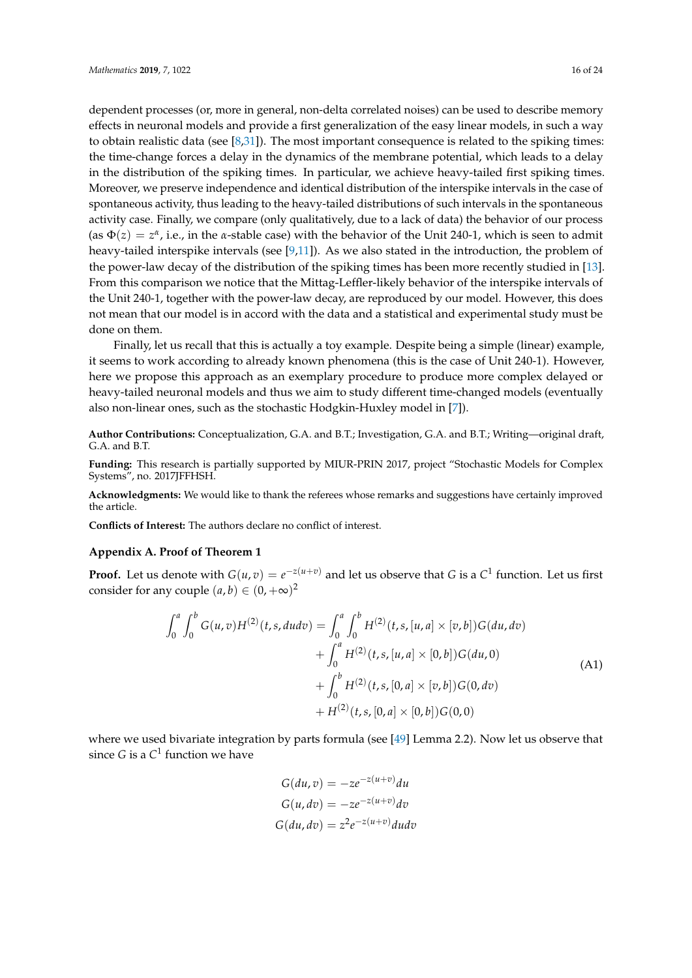done on them.

dependent processes (or, more in general, non-delta correlated noises) can be used to describe memory effects in neuronal models and provide a first generalization of the easy linear models, in such a way to obtain realistic data (see [\[8](#page-22-7)[,31\]](#page-23-3)). The most important consequence is related to the spiking times: the time-change forces a delay in the dynamics of the membrane potential, which leads to a delay in the distribution of the spiking times. In particular, we achieve heavy-tailed first spiking times. Moreover, we preserve independence and identical distribution of the interspike intervals in the case of spontaneous activity, thus leading to the heavy-tailed distributions of such intervals in the spontaneous activity case. Finally, we compare (only qualitatively, due to a lack of data) the behavior of our process (as  $\Phi(z) = z^{\alpha}$ , i.e., in the *α*-stable case) with the behavior of the Unit 240-1, which is seen to admit heavy-tailed interspike intervals (see  $[9,11]$  $[9,11]$ ). As we also stated in the introduction, the problem of the power-law decay of the distribution of the spiking times has been more recently studied in [\[13\]](#page-22-12). From this comparison we notice that the Mittag-Leffler-likely behavior of the interspike intervals of the Unit 240-1, together with the power-law decay, are reproduced by our model. However, this does not mean that our model is in accord with the data and a statistical and experimental study must be

Finally, let us recall that this is actually a toy example. Despite being a simple (linear) example, it seems to work according to already known phenomena (this is the case of Unit 240-1). However, here we propose this approach as an exemplary procedure to produce more complex delayed or heavy-tailed neuronal models and thus we aim to study different time-changed models (eventually also non-linear ones, such as the stochastic Hodgkin-Huxley model in [\[7\]](#page-22-6)).

**Author Contributions:** Conceptualization, G.A. and B.T.; Investigation, G.A. and B.T.; Writing—original draft, G.A. and B.T.

**Funding:** This research is partially supported by MIUR-PRIN 2017, project "Stochastic Models for Complex Systems", no. 2017JFFHSH.

**Acknowledgments:** We would like to thank the referees whose remarks and suggestions have certainly improved the article.

**Conflicts of Interest:** The authors declare no conflict of interest.

#### <span id="page-15-0"></span>**Appendix A. Proof of Theorem 1**

**Proof.** Let us denote with  $G(u, v) = e^{-z(u+v)}$  and let us observe that *G* is a  $C^1$  function. Let us first consider for any couple  $(a, b) \in (0, +\infty)^2$ 

$$
\int_{0}^{a} \int_{0}^{b} G(u,v)H^{(2)}(t,s, dudv) = \int_{0}^{a} \int_{0}^{b} H^{(2)}(t,s,[u,a] \times [v,b])G(du,dv) \n+ \int_{0}^{a} H^{(2)}(t,s,[u,a] \times [0,b])G(du,0) \n+ \int_{0}^{b} H^{(2)}(t,s,[0,a] \times [v,b])G(0,dv) \n+ H^{(2)}(t,s,[0,a] \times [0,b])G(0,0)
$$
\n(A1)

where we used bivariate integration by parts formula (see [\[49\]](#page-23-21) Lemma 2.2). Now let us observe that since *G* is a  $C^1$  function we have

<span id="page-15-1"></span>
$$
G(du, v) = -ze^{-z(u+v)}du
$$
  
\n
$$
G(u, dv) = -ze^{-z(u+v)}dv
$$
  
\n
$$
G(du, dv) = z2e^{-z(u+v)}du dv
$$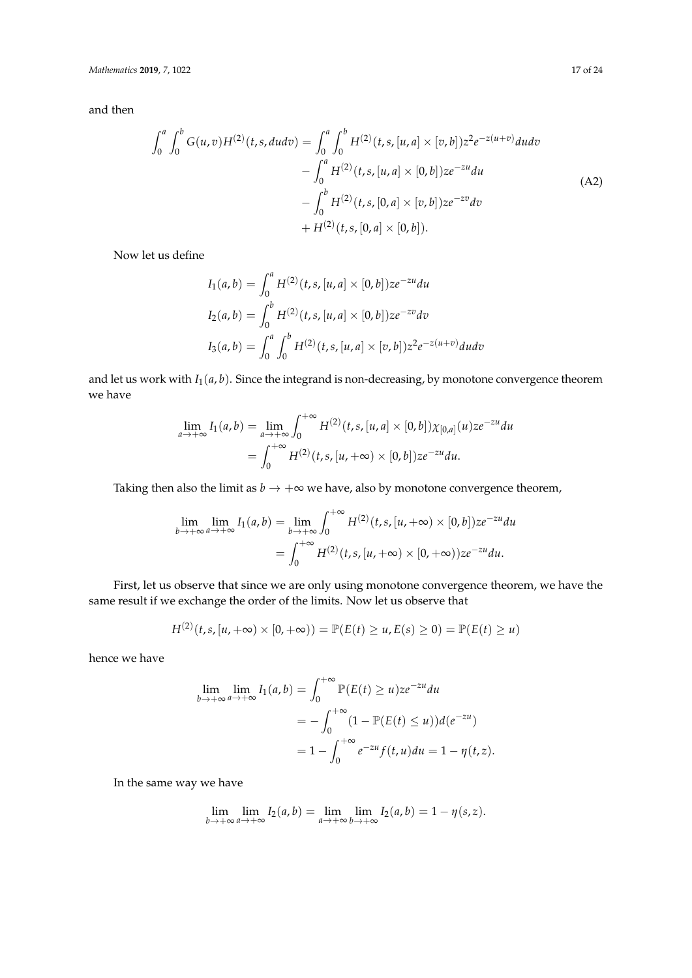and then

$$
\int_{0}^{a} \int_{0}^{b} G(u,v)H^{(2)}(t,s,du dv) = \int_{0}^{a} \int_{0}^{b} H^{(2)}(t,s,[u,a] \times [v,b])z^{2}e^{-z(u+v)} du dv \n- \int_{0}^{a} H^{(2)}(t,s,[u,a] \times [0,b])ze^{-zu} du \n- \int_{0}^{b} H^{(2)}(t,s,[0,a] \times [v,b])ze^{-zv} dv \n+ H^{(2)}(t,s,[0,a] \times [0,b]).
$$
\n(A2)

Now let us define

<span id="page-16-0"></span>
$$
I_1(a,b) = \int_0^a H^{(2)}(t,s,[u,a] \times [0,b])ze^{-zu}du
$$
  
\n
$$
I_2(a,b) = \int_0^b H^{(2)}(t,s,[u,a] \times [0,b])ze^{-zw}dv
$$
  
\n
$$
I_3(a,b) = \int_0^a \int_0^b H^{(2)}(t,s,[u,a] \times [v,b])z^2e^{-z(u+v)}du dv
$$

and let us work with  $I_1(a, b)$ . Since the integrand is non-decreasing, by monotone convergence theorem we have

$$
\lim_{a \to +\infty} I_1(a, b) = \lim_{a \to +\infty} \int_0^{+\infty} H^{(2)}(t, s, [u, a] \times [0, b]) \chi_{[0, a]}(u) z e^{-zu} du
$$
  
= 
$$
\int_0^{+\infty} H^{(2)}(t, s, [u, +\infty) \times [0, b]) z e^{-zu} du.
$$

Taking then also the limit as  $b \to +\infty$  we have, also by monotone convergence theorem,

$$
\lim_{b \to +\infty} \lim_{a \to +\infty} I_1(a, b) = \lim_{b \to +\infty} \int_0^{+\infty} H^{(2)}(t, s, [u, +\infty) \times [0, b]) z e^{-zu} du
$$

$$
= \int_0^{+\infty} H^{(2)}(t, s, [u, +\infty) \times [0, +\infty)) z e^{-zu} du.
$$

First, let us observe that since we are only using monotone convergence theorem, we have the same result if we exchange the order of the limits. Now let us observe that

$$
H^{(2)}(t,s,[u,+\infty)\times[0,+\infty))=\mathbb{P}(E(t)\geq u,E(s)\geq 0)=\mathbb{P}(E(t)\geq u)
$$

hence we have

$$
\lim_{b \to +\infty} \lim_{a \to +\infty} I_1(a, b) = \int_0^{+\infty} \mathbb{P}(E(t) \ge u) z e^{-zu} du
$$
  
= 
$$
- \int_0^{+\infty} (1 - \mathbb{P}(E(t) \le u)) d(e^{-zu})
$$
  
= 
$$
1 - \int_0^{+\infty} e^{-zu} f(t, u) du = 1 - \eta(t, z).
$$

In the same way we have

$$
\lim_{b \to +\infty} \lim_{a \to +\infty} I_2(a, b) = \lim_{a \to +\infty} \lim_{b \to +\infty} I_2(a, b) = 1 - \eta(s, z).
$$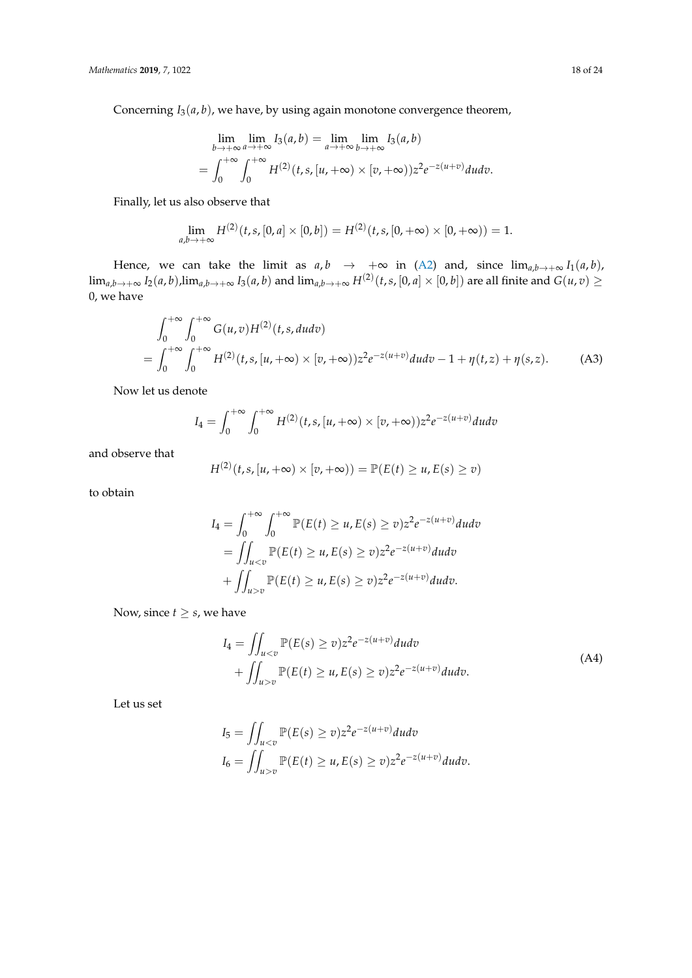Concerning *I*3(*a*, *b*), we have, by using again monotone convergence theorem,

$$
\lim_{b \to +\infty} \lim_{a \to +\infty} I_3(a, b) = \lim_{a \to +\infty} \lim_{b \to +\infty} I_3(a, b)
$$
  
= 
$$
\int_0^{+\infty} \int_0^{+\infty} H^{(2)}(t, s, [u, +\infty) \times [v, +\infty)) z^2 e^{-z(u+v)} du dv.
$$

Finally, let us also observe that

$$
\lim_{a,b\to+\infty} H^{(2)}(t,s,[0,a]\times[0,b])=H^{(2)}(t,s,[0,+\infty)\times[0,+\infty))=1.
$$

Hence, we can take the limit as  $a, b \rightarrow +\infty$  in [\(A2\)](#page-16-0) and, since  $\lim_{a,b\rightarrow+\infty} I_1(a,b)$ ,  $\lim_{a,b\to +\infty}I_2(a,b)$ , $\lim_{a,b\to +\infty}I_3(a,b)$  and  $\lim_{a,b\to +\infty}H^{(2)}(t,s,[0,a]\times[0,b])$  are all finite and  $G(u,v)\geq$ 0, we have

$$
\int_0^{+\infty} \int_0^{+\infty} G(u,v)H^{(2)}(t,s,du dv) \n= \int_0^{+\infty} \int_0^{+\infty} H^{(2)}(t,s,[u,+\infty) \times [v,+\infty))z^2 e^{-z(u+v)} du dv - 1 + \eta(t,z) + \eta(s,z).
$$
\n(A3)

Now let us denote

$$
I_4 = \int_0^{+\infty} \int_0^{+\infty} H^{(2)}(t,s,[u,+\infty) \times [v,+\infty)) z^2 e^{-z(u+v)} du dv
$$

and observe that

<span id="page-17-1"></span>
$$
H^{(2)}(t,s,[u,+\infty)\times[v,+\infty))=\mathbb{P}(E(t)\geq u,E(s)\geq v)
$$

to obtain

$$
I_4 = \int_0^{+\infty} \int_0^{+\infty} \mathbb{P}(E(t) \ge u, E(s) \ge v) z^2 e^{-z(u+v)} du dv
$$
  
= 
$$
\iint_{u  
+ 
$$
\iint_{u>v} \mathbb{P}(E(t) \ge u, E(s) \ge v) z^2 e^{-z(u+v)} du dv.
$$
$$

Now, since  $t \geq s$ , we have

<span id="page-17-0"></span>
$$
I_4 = \iint_{u  
+ 
$$
\iint_{u>v} \mathbb{P}(E(t) \ge u, E(s) \ge v) z^2 e^{-z(u+v)} du dv.
$$
 (A4)
$$

Let us set

$$
I_5 = \iint_{u  
\n
$$
I_6 = \iint_{u>v} \mathbb{P}(E(t) \ge u, E(s) \ge v) z^2 e^{-z(u+v)} du dv.
$$
$$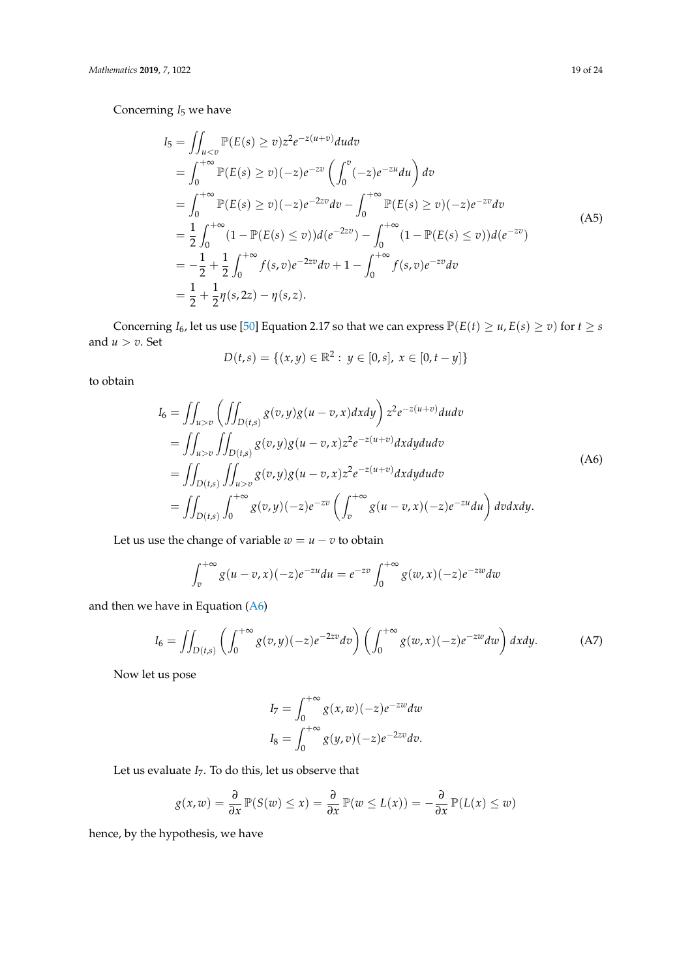Concerning *I*<sup>5</sup> we have

$$
I_5 = \iint_{u  
\n
$$
= \int_0^{+\infty} \mathbb{P}(E(s) \ge v) (-z) e^{-zv} \left( \int_0^v (-z) e^{-zu} du \right) dv
$$
  
\n
$$
= \int_0^{+\infty} \mathbb{P}(E(s) \ge v) (-z) e^{-2zv} dv - \int_0^{+\infty} \mathbb{P}(E(s) \ge v) (-z) e^{-zv} dv
$$
  
\n
$$
= \frac{1}{2} \int_0^{+\infty} (1 - \mathbb{P}(E(s) \le v)) d(e^{-2zv}) - \int_0^{+\infty} (1 - \mathbb{P}(E(s) \le v)) d(e^{-zv})
$$
  
\n
$$
= -\frac{1}{2} + \frac{1}{2} \int_0^{+\infty} f(s, v) e^{-2zv} dv + 1 - \int_0^{+\infty} f(s, v) e^{-zv} dv
$$
  
\n
$$
= \frac{1}{2} + \frac{1}{2} \eta(s, 2z) - \eta(s, z).
$$
 (A5)
$$

Concerning *I*<sub>6</sub>, let us use [\[50\]](#page-23-22) Equation 2.17 so that we can express  $\mathbb{P}(E(t) \ge u, E(s) \ge v)$  for  $t \ge s$ and  $u > v$ . Set

<span id="page-18-2"></span><span id="page-18-0"></span>
$$
D(t,s) = \{(x,y) \in \mathbb{R}^2 : y \in [0,s], x \in [0,t-y]\}
$$

to obtain

$$
I_{6} = \iint_{u>v} \left( \iint_{D(t,s)} g(v,y)g(u-v,x) dxdy \right) z^{2} e^{-z(u+v)} du dv
$$
  
\n
$$
= \iint_{u>v} \iint_{D(t,s)} g(v,y)g(u-v,x) z^{2} e^{-z(u+v)} dxdy du dv
$$
  
\n
$$
= \iint_{D(t,s)} \iint_{u>v} g(v,y)g(u-v,x) z^{2} e^{-z(u+v)} dxdy du dv
$$
  
\n
$$
= \iint_{D(t,s)} \int_{0}^{+\infty} g(v,y) (-z) e^{-zv} \left( \int_{v}^{+\infty} g(u-v,x) (-z) e^{-zu} du \right) dv dx dy.
$$
 (A6)

Let us use the change of variable  $w = u - v$  to obtain

$$
\int_{v}^{+\infty} g(u-v,x)(-z)e^{-zu}du = e^{-zv} \int_{0}^{+\infty} g(w,x)(-z)e^{-zw}dw
$$

and then we have in Equation [\(A6\)](#page-18-0)

<span id="page-18-1"></span>
$$
I_6 = \iint_{D(t,s)} \left( \int_0^{+\infty} g(v,y)(-z)e^{-2zv} dv \right) \left( \int_0^{+\infty} g(w,x)(-z)e^{-zw} dw \right) dx dy.
$$
 (A7)

Now let us pose

$$
I_7 = \int_0^{+\infty} g(x, w)(-z)e^{-zw} dw
$$
  
\n
$$
I_8 = \int_0^{+\infty} g(y, v)(-z)e^{-2zv} dv.
$$

Let us evaluate *I*7. To do this, let us observe that

$$
g(x,w) = \frac{\partial}{\partial x} \mathbb{P}(S(w) \leq x) = \frac{\partial}{\partial x} \mathbb{P}(w \leq L(x)) = -\frac{\partial}{\partial x} \mathbb{P}(L(x) \leq w)
$$

hence, by the hypothesis, we have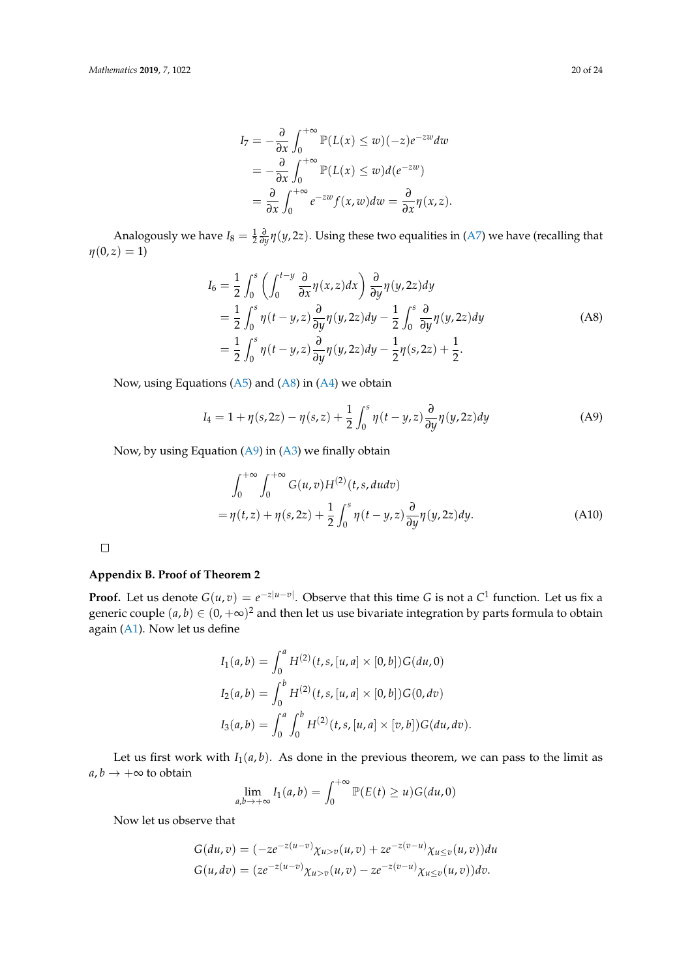$$
I_7 = -\frac{\partial}{\partial x} \int_0^{+\infty} \mathbb{P}(L(x) \le w)(-z)e^{-zw} dw
$$
  
=  $-\frac{\partial}{\partial x} \int_0^{+\infty} \mathbb{P}(L(x) \le w)d(e^{-zw})$   
=  $\frac{\partial}{\partial x} \int_0^{+\infty} e^{-zw} f(x, w) dw = \frac{\partial}{\partial x} \eta(x, z).$ 

Analogously we have  $I_8 = \frac{1}{2} \frac{\partial}{\partial y} \eta(y, 2z)$ . Using these two equalities in [\(A7\)](#page-18-1) we have (recalling that  $\eta(0, z) = 1$ 

<span id="page-19-1"></span>
$$
I_6 = \frac{1}{2} \int_0^s \left( \int_0^{t-y} \frac{\partial}{\partial x} \eta(x, z) dx \right) \frac{\partial}{\partial y} \eta(y, 2z) dy
$$
  
\n
$$
= \frac{1}{2} \int_0^s \eta(t - y, z) \frac{\partial}{\partial y} \eta(y, 2z) dy - \frac{1}{2} \int_0^s \frac{\partial}{\partial y} \eta(y, 2z) dy
$$
  
\n
$$
= \frac{1}{2} \int_0^s \eta(t - y, z) \frac{\partial}{\partial y} \eta(y, 2z) dy - \frac{1}{2} \eta(s, 2z) + \frac{1}{2}.
$$
 (A8)

Now, using Equations  $(A5)$  and  $(A8)$  in  $(A4)$  we obtain

<span id="page-19-2"></span>
$$
I_4 = 1 + \eta(s, 2z) - \eta(s, z) + \frac{1}{2} \int_0^s \eta(t - y, z) \frac{\partial}{\partial y} \eta(y, 2z) dy \tag{A9}
$$

Now, by using Equation [\(A9\)](#page-19-2) in [\(A3\)](#page-17-1) we finally obtain

$$
\int_0^{+\infty} \int_0^{+\infty} G(u,v)H^{(2)}(t,s, dudv)
$$
  
=  $\eta(t,z) + \eta(s,2z) + \frac{1}{2} \int_0^s \eta(t-y,z) \frac{\partial}{\partial y} \eta(y,2z) dy.$  (A10)

 $\Box$ 

## <span id="page-19-0"></span>**Appendix B. Proof of Theorem 2**

**Proof.** Let us denote  $G(u, v) = e^{-z|u-v|}$ . Observe that this time G is not a  $C^1$  function. Let us fix a generic couple  $(a,b) \in (0,+\infty)^2$  and then let us use bivariate integration by parts formula to obtain again [\(A1\)](#page-15-1). Now let us define

$$
I_1(a,b) = \int_0^a H^{(2)}(t,s,[u,a] \times [0,b])G(du,0)
$$
  
\n
$$
I_2(a,b) = \int_0^b H^{(2)}(t,s,[u,a] \times [0,b])G(0,dv)
$$
  
\n
$$
I_3(a,b) = \int_0^a \int_0^b H^{(2)}(t,s,[u,a] \times [v,b])G(du,dv).
$$

Let us first work with  $I_1(a, b)$ . As done in the previous theorem, we can pass to the limit as  $a, b \rightarrow +\infty$  to obtain

$$
\lim_{a,b\to+\infty} I_1(a,b) = \int_0^{+\infty} \mathbb{P}(E(t) \ge u) G(du,0)
$$

Now let us observe that

$$
G(du, v) = (-ze^{-z(u-v)}\chi_{u>v}(u, v) + ze^{-z(v-u)}\chi_{u\leq v}(u, v))du
$$
  
\n
$$
G(u, dv) = (ze^{-z(u-v)}\chi_{u>v}(u, v) - ze^{-z(v-u)}\chi_{u\leq v}(u, v))dv.
$$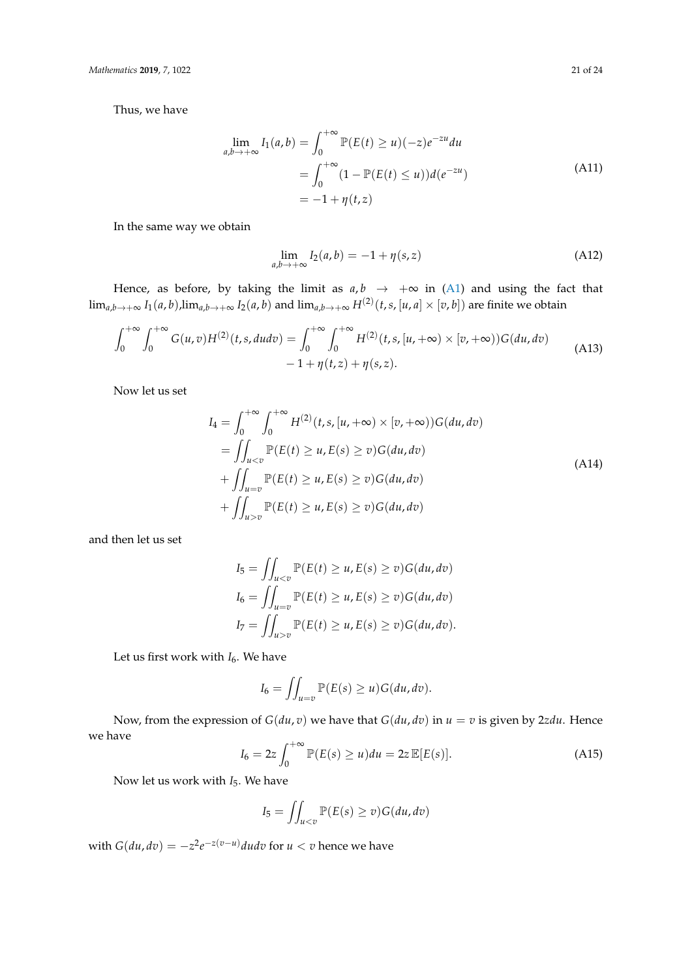Thus, we have

$$
\lim_{a,b \to +\infty} I_1(a,b) = \int_0^{+\infty} \mathbb{P}(E(t) \ge u)(-z)e^{-zu} du
$$
  
= 
$$
\int_0^{+\infty} (1 - \mathbb{P}(E(t) \le u))d(e^{-zu})
$$
  
= 
$$
-1 + \eta(t,z)
$$
 (A11)

In the same way we obtain

<span id="page-20-2"></span>
$$
\lim_{a,b\to+\infty} I_2(a,b) = -1 + \eta(s,z) \tag{A12}
$$

Hence, as before, by taking the limit as  $a, b \rightarrow +\infty$  in [\(A1\)](#page-15-1) and using the fact that  $\lim_{a,b\to +\infty}I_1(a,b)$ , $\lim_{a,b\to +\infty}I_2(a,b)$  and  $\lim_{a,b\to +\infty}H^{(2)}(t,s,[u,a]\times [v,b])$  are finite we obtain

$$
\int_0^{+\infty} \int_0^{+\infty} G(u,v)H^{(2)}(t,s,du dv) = \int_0^{+\infty} \int_0^{+\infty} H^{(2)}(t,s,[u,+\infty) \times [v,+\infty))G(du,dv) -1 + \eta(t,z) + \eta(s,z).
$$
 (A13)

Now let us set

$$
I_4 = \int_0^{+\infty} \int_0^{+\infty} H^{(2)}(t, s, [u, +\infty) \times [v, +\infty)) G(du, dv)
$$
  
\n
$$
= \iint_{u  
\n
$$
+ \iint_{u=v} \mathbb{P}(E(t) \ge u, E(s) \ge v) G(du, dv)
$$
  
\n
$$
+ \iint_{u>v} \mathbb{P}(E(t) \ge u, E(s) \ge v) G(du, dv)
$$
  
\n(A14)
$$

and then let us set

<span id="page-20-1"></span>
$$
I_5 = \iint_{u  
\n
$$
I_6 = \iint_{u=v} \mathbb{P}(E(t) \ge u, E(s) \ge v) G(du, dv)
$$
  
\n
$$
I_7 = \iint_{u>v} \mathbb{P}(E(t) \ge u, E(s) \ge v) G(du, dv).
$$
$$

Let us first work with  $I_6$ . We have

$$
I_6 = \iint_{u=v} \mathbb{P}(E(s) \ge u) G(du, dv).
$$

Now, from the expression of  $G(du, v)$  we have that  $G(du, dv)$  in  $u = v$  is given by 2*zdu*. Hence we have

<span id="page-20-0"></span>
$$
I_6 = 2z \int_0^{+\infty} \mathbb{P}(E(s) \ge u) du = 2z \mathbb{E}[E(s)].
$$
\n(A15)

Now let us work with *I*5. We have

$$
I_5 = \iint_{u
$$

with  $G(du, dv) = -z^2 e^{-z(v-u)} du dv$  for  $u < v$  hence we have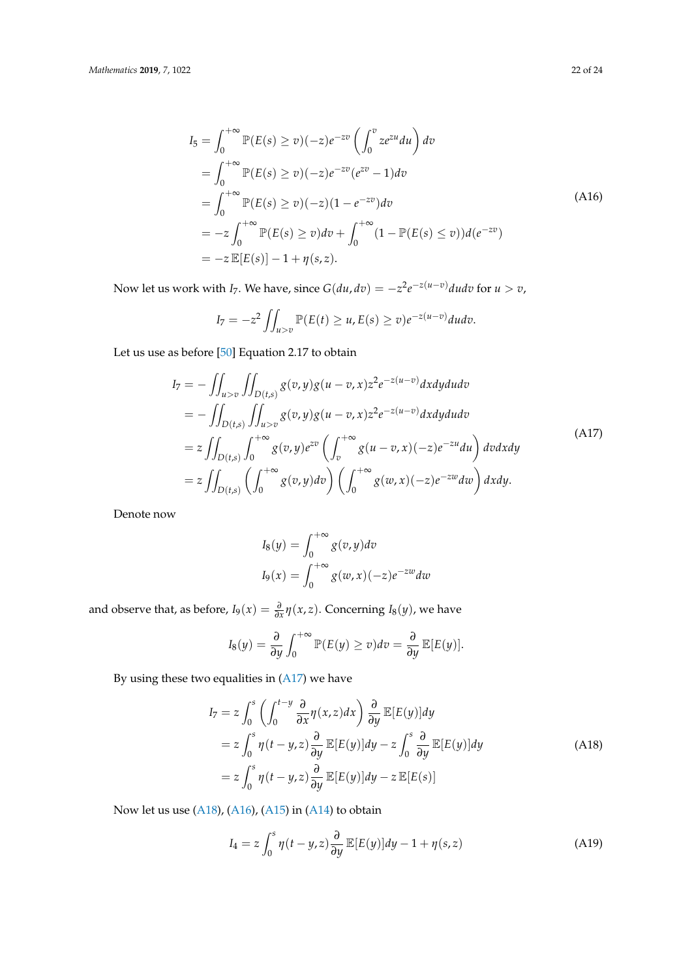$$
I_5 = \int_0^{+\infty} \mathbb{P}(E(s) \ge v)(-z)e^{-zv} \left( \int_0^v ze^{zu} du \right) dv
$$
  
\n
$$
= \int_0^{+\infty} \mathbb{P}(E(s) \ge v)(-z)e^{-zv}(e^{zv} - 1)dv
$$
  
\n
$$
= \int_0^{+\infty} \mathbb{P}(E(s) \ge v)(-z)(1 - e^{-zv})dv
$$
  
\n
$$
= -z \int_0^{+\infty} \mathbb{P}(E(s) \ge v)dv + \int_0^{+\infty} (1 - \mathbb{P}(E(s) \le v))d(e^{-zv})
$$
  
\n
$$
= -z \mathbb{E}[E(s)] - 1 + \eta(s, z).
$$
\n(A16)

Now let us work with *I*<sub>7</sub>. We have, since  $G(du, dv) = -z^2 e^{-z(u-v)} du dv$  for  $u > v$ ,

<span id="page-21-2"></span>
$$
I_7=-z^2\iint_{u>v}\mathbb{P}(E(t)\geq u,E(s)\geq v)e^{-z(u-v)}dudv.
$$

Let us use as before [\[50\]](#page-23-22) Equation 2.17 to obtain

$$
I_7 = -\iint_{u>v} \iint_{D(t,s)} g(v,y)g(u-v,x)z^2 e^{-z(u-v)} dx dy du dv
$$
  
\n
$$
= -\iint_{D(t,s)} \iint_{u>v} g(v,y)g(u-v,x)z^2 e^{-z(u-v)} dx dy du dv
$$
  
\n
$$
= z \iint_{D(t,s)} \int_0^{+\infty} g(v,y) e^{zv} \left( \int_v^{+\infty} g(u-v,x) (-z) e^{-zu} du \right) dv dx dy
$$
  
\n
$$
= z \iint_{D(t,s)} \left( \int_0^{+\infty} g(v,y) dv \right) \left( \int_0^{+\infty} g(w,x) (-z) e^{-zw} dw \right) dx dy.
$$
 (A17)

Denote now

<span id="page-21-0"></span>
$$
I_8(y) = \int_0^{+\infty} g(v, y) dv
$$
  

$$
I_9(x) = \int_0^{+\infty} g(w, x)(-z) e^{-zw} dw
$$

and observe that, as before,  $I_9(x) = \frac{\partial}{\partial x} \eta(x, z)$ . Concerning  $I_8(y)$ , we have

$$
I_8(y) = \frac{\partial}{\partial y} \int_0^{+\infty} \mathbb{P}(E(y) \ge v) dv = \frac{\partial}{\partial y} \mathbb{E}[E(y)].
$$

By using these two equalities in  $(A17)$  we have

$$
I_7 = z \int_0^s \left( \int_0^{t-y} \frac{\partial}{\partial x} \eta(x, z) dx \right) \frac{\partial}{\partial y} \mathbb{E}[E(y)] dy
$$
  
\n
$$
= z \int_0^s \eta(t - y, z) \frac{\partial}{\partial y} \mathbb{E}[E(y)] dy - z \int_0^s \frac{\partial}{\partial y} \mathbb{E}[E(y)] dy
$$
  
\n
$$
= z \int_0^s \eta(t - y, z) \frac{\partial}{\partial y} \mathbb{E}[E(y)] dy - z \mathbb{E}[E(s)]
$$
\n(A18)

Now let us use [\(A18\)](#page-21-1), [\(A16\)](#page-21-2), [\(A15\)](#page-20-0) in [\(A14\)](#page-20-1) to obtain

<span id="page-21-3"></span><span id="page-21-1"></span>
$$
I_4 = z \int_0^s \eta(t - y, z) \frac{\partial}{\partial y} \mathbb{E}[E(y)] dy - 1 + \eta(s, z)
$$
 (A19)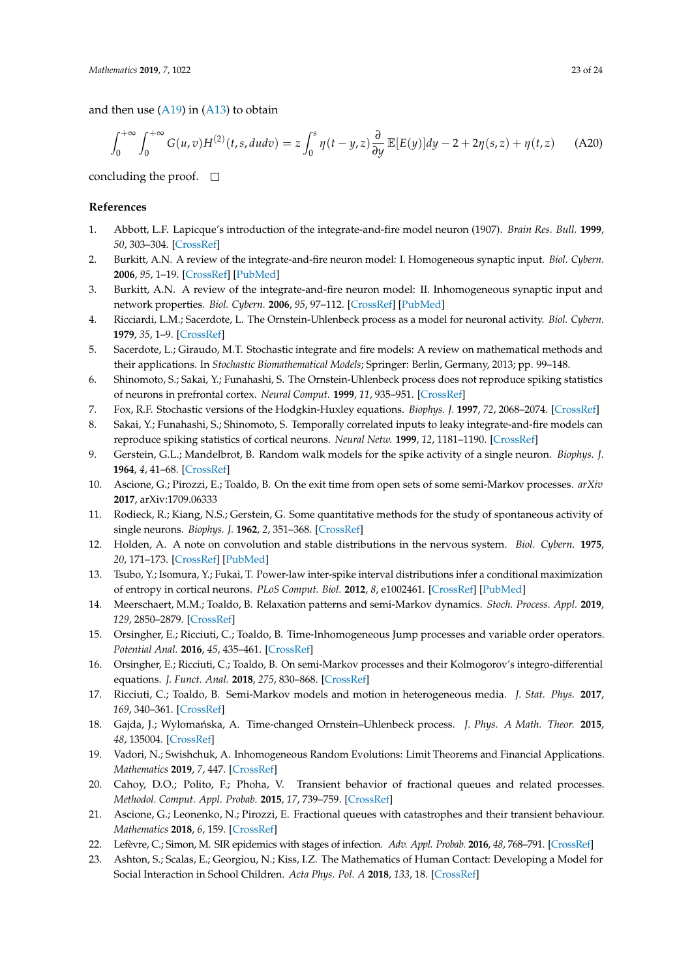and then use  $(A19)$  in  $(A13)$  to obtain

$$
\int_0^{+\infty} \int_0^{+\infty} G(u,v)H^{(2)}(t,s,dudv) = z \int_0^s \eta(t-y,z) \frac{\partial}{\partial y} \mathbb{E}[E(y)]dy - 2 + 2\eta(s,z) + \eta(t,z) \tag{A20}
$$

concluding the proof.  $\square$ 

#### **References**

- <span id="page-22-0"></span>1. Abbott, L.F. Lapicque's introduction of the integrate-and-fire model neuron (1907). *Brain Res. Bull.* **1999**, *50*, 303–304. [\[CrossRef\]](http://dx.doi.org/10.1016/S0361-9230(99)00161-6)
- <span id="page-22-1"></span>2. Burkitt, A.N. A review of the integrate-and-fire neuron model: I. Homogeneous synaptic input. *Biol. Cybern.* **2006**, *95*, 1–19. [\[CrossRef\]](http://dx.doi.org/10.1007/s00422-006-0068-6) [\[PubMed\]](http://www.ncbi.nlm.nih.gov/pubmed/16622699)
- <span id="page-22-2"></span>3. Burkitt, A.N. A review of the integrate-and-fire neuron model: II. Inhomogeneous synaptic input and network properties. *Biol. Cybern.* **2006**, *95*, 97–112. [\[CrossRef\]](http://dx.doi.org/10.1007/s00422-006-0082-8) [\[PubMed\]](http://www.ncbi.nlm.nih.gov/pubmed/16821035)
- <span id="page-22-3"></span>4. Ricciardi, L.M.; Sacerdote, L. The Ornstein-Uhlenbeck process as a model for neuronal activity. *Biol. Cybern.* **1979**, *35*, 1–9. [\[CrossRef\]](http://dx.doi.org/10.1007/BF01845839)
- <span id="page-22-4"></span>5. Sacerdote, L.; Giraudo, M.T. Stochastic integrate and fire models: A review on mathematical methods and their applications. In *Stochastic Biomathematical Models*; Springer: Berlin, Germany, 2013; pp. 99–148.
- <span id="page-22-5"></span>6. Shinomoto, S.; Sakai, Y.; Funahashi, S. The Ornstein-Uhlenbeck process does not reproduce spiking statistics of neurons in prefrontal cortex. *Neural Comput.* **1999**, *11*, 935–951. [\[CrossRef\]](http://dx.doi.org/10.1162/089976699300016511)
- <span id="page-22-6"></span>7. Fox, R.F. Stochastic versions of the Hodgkin-Huxley equations. *Biophys. J.* **1997**, *72*, 2068–2074. [\[CrossRef\]](http://dx.doi.org/10.1016/S0006-3495(97)78850-7)
- <span id="page-22-7"></span>8. Sakai, Y.; Funahashi, S.; Shinomoto, S. Temporally correlated inputs to leaky integrate-and-fire models can reproduce spiking statistics of cortical neurons. *Neural Netw.* **1999**, *12*, 1181–1190. [\[CrossRef\]](http://dx.doi.org/10.1016/S0893-6080(99)00053-2)
- <span id="page-22-8"></span>9. Gerstein, G.L.; Mandelbrot, B. Random walk models for the spike activity of a single neuron. *Biophys. J.* **1964**, *4*, 41–68. [\[CrossRef\]](http://dx.doi.org/10.1016/S0006-3495(64)86768-0)
- <span id="page-22-9"></span>10. Ascione, G.; Pirozzi, E.; Toaldo, B. On the exit time from open sets of some semi-Markov processes. *arXiv* **2017**, arXiv:1709.06333
- <span id="page-22-10"></span>11. Rodieck, R.; Kiang, N.S.; Gerstein, G. Some quantitative methods for the study of spontaneous activity of single neurons. *Biophys. J.* **1962**, *2*, 351–368. [\[CrossRef\]](http://dx.doi.org/10.1016/S0006-3495(62)86860-X)
- <span id="page-22-11"></span>12. Holden, A. A note on convolution and stable distributions in the nervous system. *Biol. Cybern.* **1975**, *20*, 171–173. [\[CrossRef\]](http://dx.doi.org/10.1007/BF00342637) [\[PubMed\]](http://www.ncbi.nlm.nih.gov/pubmed/173418)
- <span id="page-22-12"></span>13. Tsubo, Y.; Isomura, Y.; Fukai, T. Power-law inter-spike interval distributions infer a conditional maximization of entropy in cortical neurons. *PLoS Comput. Biol.* **2012**, *8*, e1002461. [\[CrossRef\]](http://dx.doi.org/10.1371/journal.pcbi.1002461) [\[PubMed\]](http://www.ncbi.nlm.nih.gov/pubmed/22511856)
- <span id="page-22-13"></span>14. Meerschaert, M.M.; Toaldo, B. Relaxation patterns and semi-Markov dynamics. *Stoch. Process. Appl.* **2019**, *129*, 2850–2879. [\[CrossRef\]](http://dx.doi.org/10.1016/j.spa.2018.08.004)
- 15. Orsingher, E.; Ricciuti, C.; Toaldo, B. Time-Inhomogeneous Jump processes and variable order operators. *Potential Anal.* **2016**, *45*, 435–461. [\[CrossRef\]](http://dx.doi.org/10.1007/s11118-016-9551-4)
- 16. Orsingher, E.; Ricciuti, C.; Toaldo, B. On semi-Markov processes and their Kolmogorov's integro-differential equations. *J. Funct. Anal.* **2018**, *275*, 830–868. [\[CrossRef\]](http://dx.doi.org/10.1016/j.jfa.2018.02.011)
- <span id="page-22-14"></span>17. Ricciuti, C.; Toaldo, B. Semi-Markov models and motion in heterogeneous media. *J. Stat. Phys.* **2017**, *169*, 340–361. [\[CrossRef\]](http://dx.doi.org/10.1007/s10955-017-1871-2)
- <span id="page-22-15"></span>18. Gajda, J.; Wylomańska, A. Time-changed Ornstein–Uhlenbeck process. *J. Phys. A Math. Theor.* 2015, *48*, 135004. [\[CrossRef\]](http://dx.doi.org/10.1088/1751-8113/48/13/135004)
- <span id="page-22-16"></span>19. Vadori, N.; Swishchuk, A. Inhomogeneous Random Evolutions: Limit Theorems and Financial Applications. *Mathematics* **2019**, *7*, 447. [\[CrossRef\]](http://dx.doi.org/10.3390/math7050447)
- <span id="page-22-17"></span>20. Cahoy, D.O.; Polito, F.; Phoha, V. Transient behavior of fractional queues and related processes. *Methodol. Comput. Appl. Probab.* **2015**, *17*, 739–759. [\[CrossRef\]](http://dx.doi.org/10.1007/s11009-013-9391-2)
- <span id="page-22-18"></span>21. Ascione, G.; Leonenko, N.; Pirozzi, E. Fractional queues with catastrophes and their transient behaviour. *Mathematics* **2018**, *6*, 159. [\[CrossRef\]](http://dx.doi.org/10.3390/math6090159)
- <span id="page-22-19"></span>22. Lefèvre, C.; Simon, M. SIR epidemics with stages of infection. *Adv. Appl. Probab.* **2016**, *48*, 768–791. [\[CrossRef\]](http://dx.doi.org/10.1017/apr.2016.27)
- <span id="page-22-20"></span>23. Ashton, S.; Scalas, E.; Georgiou, N.; Kiss, I.Z. The Mathematics of Human Contact: Developing a Model for Social Interaction in School Children. *Acta Phys. Pol. A* **2018**, *133*, 18. [\[CrossRef\]](http://dx.doi.org/10.12693/APhysPolA.133.1421)